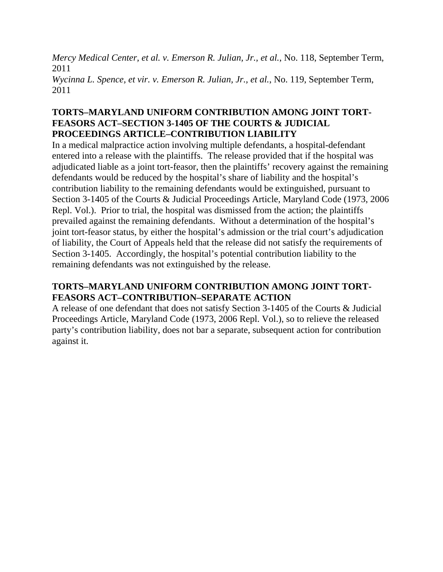*Mercy Medical Center, et al. v. Emerson R. Julian, Jr., et al.*, No. 118, September Term, 2011 *Wycinna L. Spence, et vir. v. Emerson R. Julian, Jr., et al.*, No. 119, September Term, 2011

## **TORTS–MARYLAND UNIFORM CONTRIBUTION AMONG JOINT TORT-FEASORS ACT–SECTION 3-1405 OF THE COURTS & JUDICIAL PROCEEDINGS ARTICLE–CONTRIBUTION LIABILITY**

In a medical malpractice action involving multiple defendants, a hospital-defendant entered into a release with the plaintiffs. The release provided that if the hospital was adjudicated liable as a joint tort-feasor, then the plaintiffs' recovery against the remaining defendants would be reduced by the hospital's share of liability and the hospital's contribution liability to the remaining defendants would be extinguished, pursuant to Section 3-1405 of the Courts & Judicial Proceedings Article, Maryland Code (1973, 2006 Repl. Vol.). Prior to trial, the hospital was dismissed from the action; the plaintiffs prevailed against the remaining defendants. Without a determination of the hospital's joint tort-feasor status, by either the hospital's admission or the trial court's adjudication of liability, the Court of Appeals held that the release did not satisfy the requirements of Section 3-1405. Accordingly, the hospital's potential contribution liability to the remaining defendants was not extinguished by the release.

# **TORTS–MARYLAND UNIFORM CONTRIBUTION AMONG JOINT TORT-FEASORS ACT–CONTRIBUTION–SEPARATE ACTION**

A release of one defendant that does not satisfy Section 3-1405 of the Courts & Judicial Proceedings Article, Maryland Code (1973, 2006 Repl. Vol.), so to relieve the released party's contribution liability, does not bar a separate, subsequent action for contribution against it.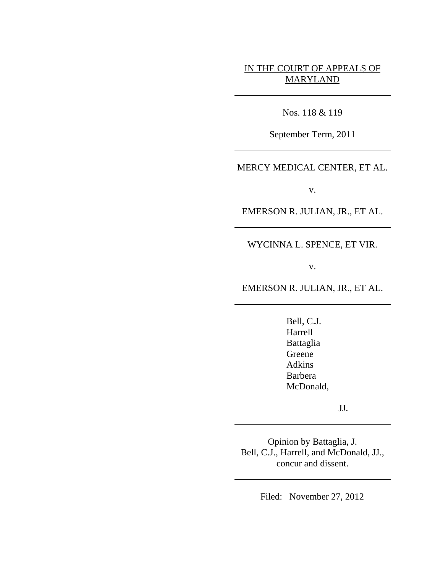# IN THE COURT OF APPEALS OF MARYLAND

Nos. 118 & 119

September Term, 2011

MERCY MEDICAL CENTER, ET AL.

v.

EMERSON R. JULIAN, JR., ET AL.

WYCINNA L. SPENCE, ET VIR.

v.

EMERSON R. JULIAN, JR., ET AL.

Bell, C.J. Harrell Battaglia Greene Adkins Barbera McDonald,

JJ.

Opinion by Battaglia, J. Bell, C.J., Harrell, and McDonald, JJ., concur and dissent.

Filed: November 27, 2012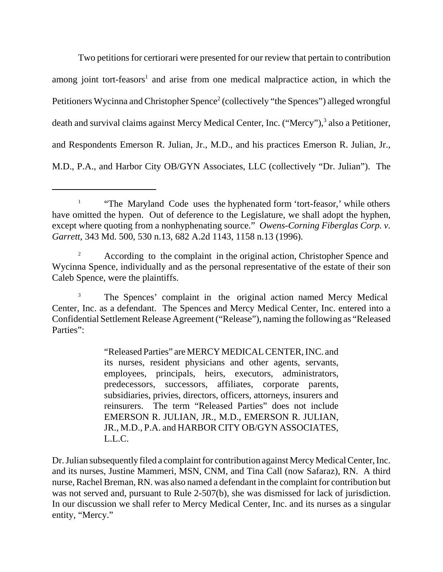Two petitions for certiorari were presented for our review that pertain to contribution among joint tort-feasors<sup>1</sup> and arise from one medical malpractice action, in which the Petitioners Wycinna and Christopher Spence<sup>2</sup> (collectively "the Spences") alleged wrongful death and survival claims against Mercy Medical Center, Inc. ("Mercy"),<sup>3</sup> also a Petitioner, and Respondents Emerson R. Julian, Jr., M.D., and his practices Emerson R. Julian, Jr., M.D., P.A., and Harbor City OB/GYN Associates, LLC (collectively "Dr. Julian"). The

<sup>&</sup>lt;sup>1</sup> "The Maryland Code uses the hyphenated form 'tort-feasor,' while others have omitted the hypen. Out of deference to the Legislature, we shall adopt the hyphen, except where quoting from a nonhyphenating source." *Owens-Corning Fiberglas Corp. v. Garrett*, 343 Md. 500, 530 n.13, 682 A.2d 1143, 1158 n.13 (1996).

According to the complaint in the original action, Christopher Spence and Wycinna Spence, individually and as the personal representative of the estate of their son Caleb Spence, were the plaintiffs.

<sup>&</sup>lt;sup>3</sup> The Spences' complaint in the original action named Mercy Medical Center, Inc. as a defendant. The Spences and Mercy Medical Center, Inc. entered into a Confidential Settlement Release Agreement ("Release"), naming the following as "Released Parties":

<sup>&</sup>quot;Released Parties" are MERCY MEDICAL CENTER, INC. and its nurses, resident physicians and other agents, servants, employees, principals, heirs, executors, administrators, predecessors, successors, affiliates, corporate parents, subsidiaries, privies, directors, officers, attorneys, insurers and reinsurers. The term "Released Parties" does not include EMERSON R. JULIAN, JR., M.D., EMERSON R. JULIAN, JR., M.D., P.A. and HARBOR CITY OB/GYN ASSOCIATES, L.L.C.

Dr. Julian subsequently filed a complaint for contribution against Mercy Medical Center, Inc. and its nurses, Justine Mammeri, MSN, CNM, and Tina Call (now Safaraz), RN. A third nurse, Rachel Breman, RN. was also named a defendant in the complaint for contribution but was not served and, pursuant to Rule 2-507(b), she was dismissed for lack of jurisdiction. In our discussion we shall refer to Mercy Medical Center, Inc. and its nurses as a singular entity, "Mercy."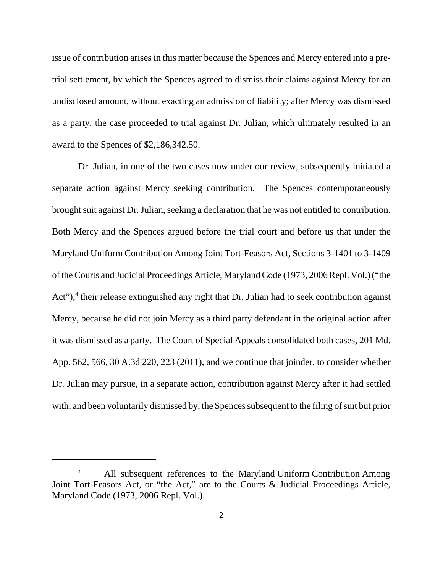issue of contribution arises in this matter because the Spences and Mercy entered into a pretrial settlement, by which the Spences agreed to dismiss their claims against Mercy for an undisclosed amount, without exacting an admission of liability; after Mercy was dismissed as a party, the case proceeded to trial against Dr. Julian, which ultimately resulted in an award to the Spences of \$2,186,342.50.

Dr. Julian, in one of the two cases now under our review, subsequently initiated a separate action against Mercy seeking contribution. The Spences contemporaneously brought suit against Dr. Julian, seeking a declaration that he was not entitled to contribution. Both Mercy and the Spences argued before the trial court and before us that under the Maryland Uniform Contribution Among Joint Tort-Feasors Act, Sections 3-1401 to 3-1409 of the Courts and Judicial Proceedings Article, Maryland Code (1973, 2006 Repl. Vol.) ("the Act"),<sup>4</sup> their release extinguished any right that Dr. Julian had to seek contribution against Mercy, because he did not join Mercy as a third party defendant in the original action after it was dismissed as a party. The Court of Special Appeals consolidated both cases, 201 Md. App. 562, 566, 30 A.3d 220, 223 (2011), and we continue that joinder, to consider whether Dr. Julian may pursue, in a separate action, contribution against Mercy after it had settled with, and been voluntarily dismissed by, the Spences subsequent to the filing of suit but prior

<sup>&</sup>lt;sup>4</sup> All subsequent references to the Maryland Uniform Contribution Among Joint Tort-Feasors Act, or "the Act," are to the Courts & Judicial Proceedings Article, Maryland Code (1973, 2006 Repl. Vol.).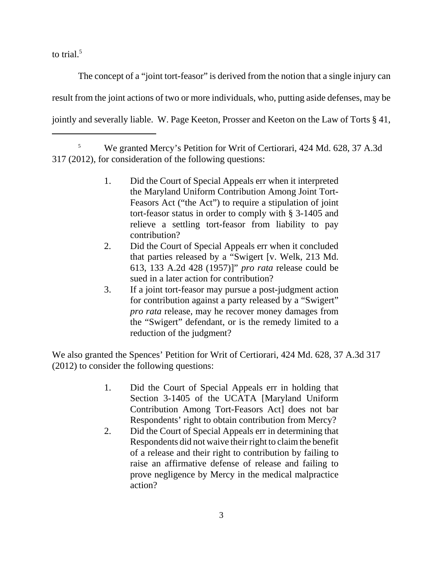to trial. $5$ 

The concept of a "joint tort-feasor" is derived from the notion that a single injury can result from the joint actions of two or more individuals, who, putting aside defenses, may be jointly and severally liable. W. Page Keeton, Prosser and Keeton on the Law of Torts § 41,

<sup>5</sup> We granted Mercy's Petition for Writ of Certiorari, 424 Md. 628, 37 A.3d 317 (2012), for consideration of the following questions:

- 1. Did the Court of Special Appeals err when it interpreted the Maryland Uniform Contribution Among Joint Tort-Feasors Act ("the Act") to require a stipulation of joint tort-feasor status in order to comply with § 3-1405 and relieve a settling tort-feasor from liability to pay contribution?
- 2. Did the Court of Special Appeals err when it concluded that parties released by a "Swigert [v. Welk, 213 Md. 613, 133 A.2d 428 (1957)]" *pro rata* release could be sued in a later action for contribution?
- 3. If a joint tort-feasor may pursue a post-judgment action for contribution against a party released by a "Swigert" *pro rata* release, may he recover money damages from the "Swigert" defendant, or is the remedy limited to a reduction of the judgment?

We also granted the Spences' Petition for Writ of Certiorari, 424 Md. 628, 37 A.3d 317 (2012) to consider the following questions:

- 1. Did the Court of Special Appeals err in holding that Section 3-1405 of the UCATA [Maryland Uniform Contribution Among Tort-Feasors Act] does not bar Respondents' right to obtain contribution from Mercy?
- 2. Did the Court of Special Appeals err in determining that Respondents did not waive their right to claim the benefit of a release and their right to contribution by failing to raise an affirmative defense of release and failing to prove negligence by Mercy in the medical malpractice action?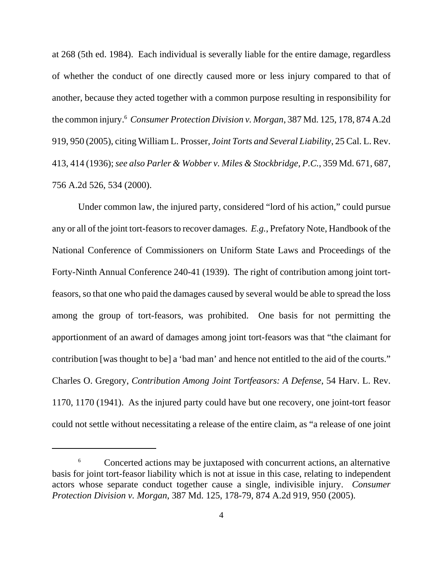at 268 (5th ed. 1984). Each individual is severally liable for the entire damage, regardless of whether the conduct of one directly caused more or less injury compared to that of another, because they acted together with a common purpose resulting in responsibility for the common injury.6 *Consumer Protection Division v. Morgan*, 387 Md. 125, 178, 874 A.2d 919, 950 (2005), citing William L. Prosser, *Joint Torts and Several Liability*, 25 Cal. L. Rev. 413, 414 (1936); *see also Parler & Wobber v. Miles & Stockbridge, P.C.*, 359 Md. 671, 687, 756 A.2d 526, 534 (2000).

Under common law, the injured party, considered "lord of his action," could pursue any or all of the joint tort-feasors to recover damages. *E.g.*, Prefatory Note, Handbook of the National Conference of Commissioners on Uniform State Laws and Proceedings of the Forty-Ninth Annual Conference 240-41 (1939). The right of contribution among joint tortfeasors, so that one who paid the damages caused by several would be able to spread the loss among the group of tort-feasors, was prohibited. One basis for not permitting the apportionment of an award of damages among joint tort-feasors was that "the claimant for contribution [was thought to be] a 'bad man' and hence not entitled to the aid of the courts." Charles O. Gregory, *Contribution Among Joint Tortfeasors: A Defense*, 54 Harv. L. Rev. 1170, 1170 (1941). As the injured party could have but one recovery, one joint-tort feasor could not settle without necessitating a release of the entire claim, as "a release of one joint

<sup>6</sup> Concerted actions may be juxtaposed with concurrent actions, an alternative basis for joint tort-feasor liability which is not at issue in this case, relating to independent actors whose separate conduct together cause a single, indivisible injury. *Consumer Protection Division v. Morgan*, 387 Md. 125, 178-79, 874 A.2d 919, 950 (2005).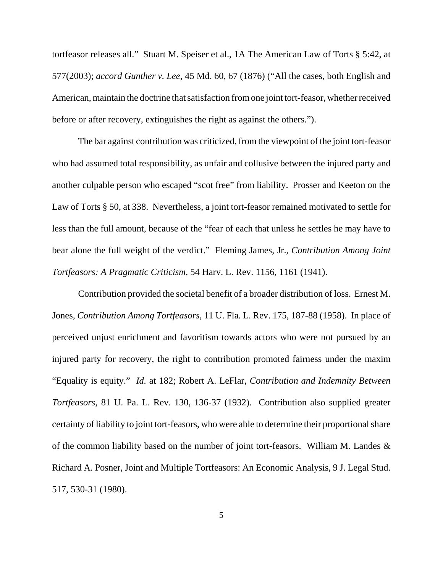tortfeasor releases all." Stuart M. Speiser et al., 1A The American Law of Torts § 5:42, at 577(2003); *accord Gunther v. Lee*, 45 Md. 60, 67 (1876) ("All the cases, both English and American, maintain the doctrine that satisfaction from one joint tort-feasor, whether received before or after recovery, extinguishes the right as against the others.").

The bar against contribution was criticized, from the viewpoint of the joint tort-feasor who had assumed total responsibility, as unfair and collusive between the injured party and another culpable person who escaped "scot free" from liability. Prosser and Keeton on the Law of Torts § 50, at 338. Nevertheless, a joint tort-feasor remained motivated to settle for less than the full amount, because of the "fear of each that unless he settles he may have to bear alone the full weight of the verdict." Fleming James, Jr., *Contribution Among Joint Tortfeasors: A Pragmatic Criticism*, 54 Harv. L. Rev. 1156, 1161 (1941).

Contribution provided the societal benefit of a broader distribution of loss. Ernest M. Jones, *Contribution Among Tortfeasors*, 11 U. Fla. L. Rev. 175, 187-88 (1958). In place of perceived unjust enrichment and favoritism towards actors who were not pursued by an injured party for recovery, the right to contribution promoted fairness under the maxim "Equality is equity." *Id.* at 182; Robert A. LeFlar, *Contribution and Indemnity Between Tortfeasors*, 81 U. Pa. L. Rev. 130, 136-37 (1932). Contribution also supplied greater certainty of liability to joint tort-feasors, who were able to determine their proportional share of the common liability based on the number of joint tort-feasors. William M. Landes & Richard A. Posner, Joint and Multiple Tortfeasors: An Economic Analysis, 9 J. Legal Stud. 517, 530-31 (1980).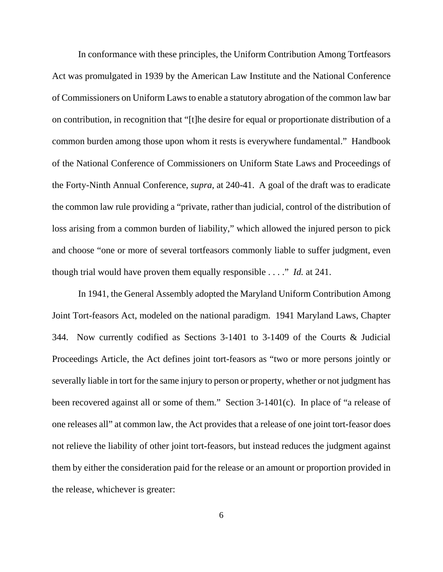In conformance with these principles, the Uniform Contribution Among Tortfeasors Act was promulgated in 1939 by the American Law Institute and the National Conference of Commissioners on Uniform Laws to enable a statutory abrogation of the common law bar on contribution, in recognition that "[t]he desire for equal or proportionate distribution of a common burden among those upon whom it rests is everywhere fundamental." Handbook of the National Conference of Commissioners on Uniform State Laws and Proceedings of the Forty-Ninth Annual Conference, *supra*, at 240-41. A goal of the draft was to eradicate the common law rule providing a "private, rather than judicial, control of the distribution of loss arising from a common burden of liability," which allowed the injured person to pick and choose "one or more of several tortfeasors commonly liable to suffer judgment, even though trial would have proven them equally responsible . . . ." *Id.* at 241.

In 1941, the General Assembly adopted the Maryland Uniform Contribution Among Joint Tort-feasors Act, modeled on the national paradigm. 1941 Maryland Laws, Chapter 344. Now currently codified as Sections 3-1401 to 3-1409 of the Courts & Judicial Proceedings Article, the Act defines joint tort-feasors as "two or more persons jointly or severally liable in tort for the same injury to person or property, whether or not judgment has been recovered against all or some of them." Section 3-1401(c). In place of "a release of one releases all" at common law, the Act provides that a release of one joint tort-feasor does not relieve the liability of other joint tort-feasors, but instead reduces the judgment against them by either the consideration paid for the release or an amount or proportion provided in the release, whichever is greater: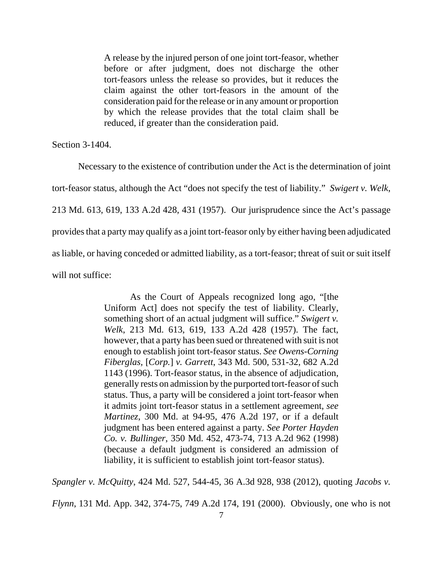A release by the injured person of one joint tort-feasor, whether before or after judgment, does not discharge the other tort-feasors unless the release so provides, but it reduces the claim against the other tort-feasors in the amount of the consideration paid for the release or in any amount or proportion by which the release provides that the total claim shall be reduced, if greater than the consideration paid.

Section 3-1404.

Necessary to the existence of contribution under the Act is the determination of joint tort-feasor status, although the Act "does not specify the test of liability." *Swigert v. Welk*, 213 Md. 613, 619, 133 A.2d 428, 431 (1957). Our jurisprudence since the Act's passage provides that a party may qualify as a joint tort-feasor only by either having been adjudicated as liable, or having conceded or admitted liability, as a tort-feasor; threat of suit or suit itself will not suffice:

> As the Court of Appeals recognized long ago, "[the Uniform Act] does not specify the test of liability. Clearly, something short of an actual judgment will suffice." *Swigert v. Welk*, 213 Md. 613, 619, 133 A.2d 428 (1957). The fact, however, that a party has been sued or threatened with suit is not enough to establish joint tort-feasor status. *See Owens-Corning Fiberglas,* [*Corp.*] *v. Garrett*, 343 Md. 500, 531-32, 682 A.2d 1143 (1996). Tort-feasor status, in the absence of adjudication, generally rests on admission by the purported tort-feasor of such status. Thus, a party will be considered a joint tort-feasor when it admits joint tort-feasor status in a settlement agreement, *see Martinez*, 300 Md. at 94-95, 476 A.2d 197, or if a default judgment has been entered against a party. *See Porter Hayden Co. v. Bullinger*, 350 Md. 452, 473-74, 713 A.2d 962 (1998) (because a default judgment is considered an admission of liability, it is sufficient to establish joint tort-feasor status).

*Spangler v. McQuitty*, 424 Md. 527, 544-45, 36 A.3d 928, 938 (2012), quoting *Jacobs v.*

*Flynn*, 131 Md. App. 342, 374-75, 749 A.2d 174, 191 (2000). Obviously, one who is not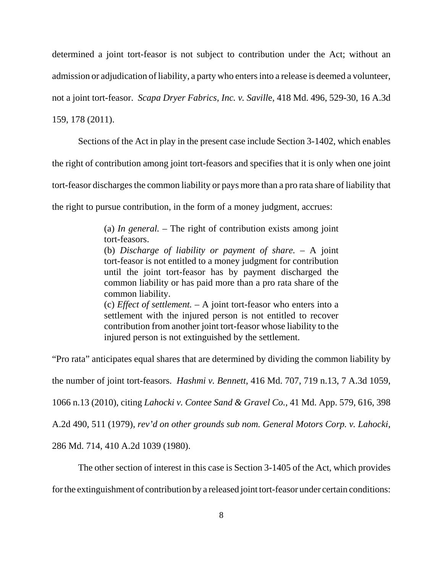determined a joint tort-feasor is not subject to contribution under the Act; without an admission or adjudication of liability, a party who enters into a release is deemed a volunteer, not a joint tort-feasor. *Scapa Dryer Fabrics, Inc. v. Savill*e, 418 Md. 496, 529-30, 16 A.3d

159, 178 (2011).

Sections of the Act in play in the present case include Section 3-1402, which enables

the right of contribution among joint tort-feasors and specifies that it is only when one joint

tort-feasor discharges the common liability or pays more than a pro rata share of liability that

the right to pursue contribution, in the form of a money judgment, accrues:

(a) *In general.* – The right of contribution exists among joint tort-feasors.

(b) *Discharge of liability or payment of share.* – A joint tort-feasor is not entitled to a money judgment for contribution until the joint tort-feasor has by payment discharged the common liability or has paid more than a pro rata share of the common liability.

(c) *Effect of settlement.* – A joint tort-feasor who enters into a settlement with the injured person is not entitled to recover contribution from another joint tort-feasor whose liability to the injured person is not extinguished by the settlement.

"Pro rata" anticipates equal shares that are determined by dividing the common liability by the number of joint tort-feasors. *Hashmi v. Bennett*, 416 Md. 707, 719 n.13, 7 A.3d 1059, 1066 n.13 (2010), citing *Lahocki v. Contee Sand & Gravel Co.*, 41 Md. App. 579, 616, 398 A.2d 490, 511 (1979), *rev'd on other grounds sub nom. General Motors Corp. v. Lahocki*,

286 Md. 714, 410 A.2d 1039 (1980).

The other section of interest in this case is Section 3-1405 of the Act, which provides

for the extinguishment of contribution by a released joint tort-feasor under certain conditions: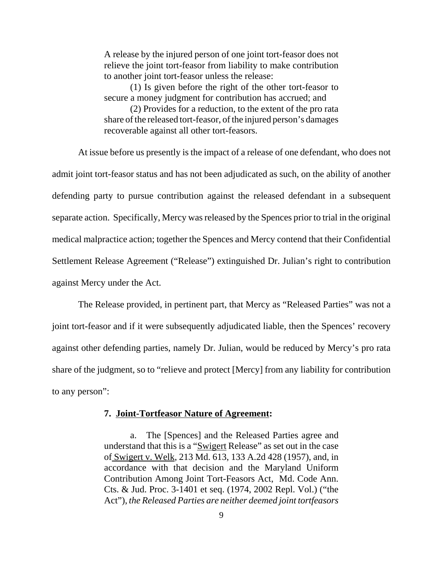A release by the injured person of one joint tort-feasor does not relieve the joint tort-feasor from liability to make contribution to another joint tort-feasor unless the release:

(1) Is given before the right of the other tort-feasor to secure a money judgment for contribution has accrued; and

(2) Provides for a reduction, to the extent of the pro rata share of the released tort-feasor, of the injured person's damages recoverable against all other tort-feasors.

At issue before us presently is the impact of a release of one defendant, who does not admit joint tort-feasor status and has not been adjudicated as such, on the ability of another defending party to pursue contribution against the released defendant in a subsequent separate action. Specifically, Mercy was released by the Spences prior to trial in the original medical malpractice action; together the Spences and Mercy contend that their Confidential Settlement Release Agreement ("Release") extinguished Dr. Julian's right to contribution against Mercy under the Act.

The Release provided, in pertinent part, that Mercy as "Released Parties" was not a joint tort-feasor and if it were subsequently adjudicated liable, then the Spences' recovery against other defending parties, namely Dr. Julian, would be reduced by Mercy's pro rata share of the judgment, so to "relieve and protect [Mercy] from any liability for contribution to any person":

#### **7. Joint-Tortfeasor Nature of Agreement:**

a. The [Spences] and the Released Parties agree and understand that this is a "Swigert Release" as set out in the case of Swigert v. Welk, 213 Md. 613, 133 A.2d 428 (1957), and, in accordance with that decision and the Maryland Uniform Contribution Among Joint Tort-Feasors Act, Md. Code Ann. Cts. & Jud. Proc. 3-1401 et seq. (1974, 2002 Repl. Vol.) ("the Act"), *the Released Parties are neither deemed joint tortfeasors*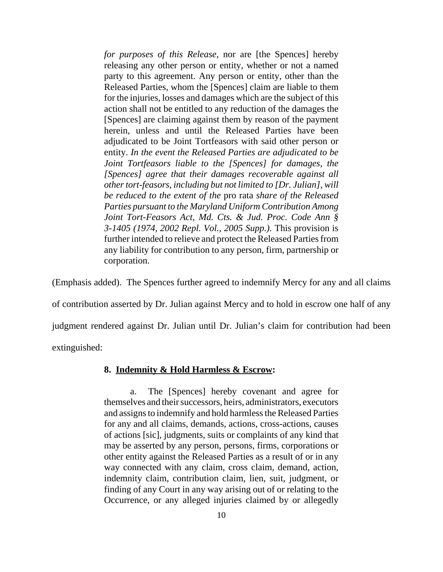*for purposes of this Release*, nor are [the Spences] hereby releasing any other person or entity, whether or not a named party to this agreement. Any person or entity, other than the Released Parties, whom the [Spences] claim are liable to them for the injuries, losses and damages which are the subject of this action shall not be entitled to any reduction of the damages the [Spences] are claiming against them by reason of the payment herein, unless and until the Released Parties have been adjudicated to be Joint Tortfeasors with said other person or entity. *In the event the Released Parties are adjudicated to be Joint Tortfeasors liable to the [Spences] for damages, the [Spences] agree that their damages recoverable against all other tort-feasors, including but not limited to [Dr. Julian], will be reduced to the extent of the* pro rata *share of the Released Parties pursuant to the Maryland Uniform Contribution Among Joint Tort-Feasors Act, Md. Cts. & Jud. Proc. Code Ann § 3-1405 (1974, 2002 Repl. Vol., 2005 Supp.).* This provision is further intended to relieve and protect the Released Parties from any liability for contribution to any person, firm, partnership or corporation.

(Emphasis added). The Spences further agreed to indemnify Mercy for any and all claims of contribution asserted by Dr. Julian against Mercy and to hold in escrow one half of any judgment rendered against Dr. Julian until Dr. Julian's claim for contribution had been extinguished:

**8. Indemnity & Hold Harmless & Escrow:**

a. The [Spences] hereby covenant and agree for themselves and their successors, heirs, administrators, executors and assigns to indemnify and hold harmless the Released Parties for any and all claims, demands, actions, cross-actions, causes of actions [sic], judgments, suits or complaints of any kind that may be asserted by any person, persons, firms, corporations or other entity against the Released Parties as a result of or in any way connected with any claim, cross claim, demand, action, indemnity claim, contribution claim, lien, suit, judgment, or finding of any Court in any way arising out of or relating to the Occurrence, or any alleged injuries claimed by or allegedly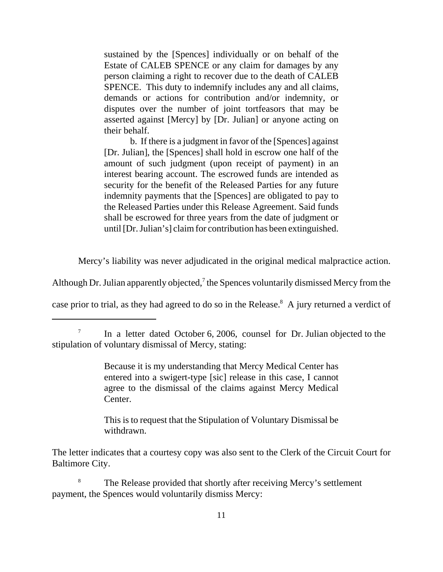sustained by the [Spences] individually or on behalf of the Estate of CALEB SPENCE or any claim for damages by any person claiming a right to recover due to the death of CALEB SPENCE. This duty to indemnify includes any and all claims, demands or actions for contribution and/or indemnity, or disputes over the number of joint tortfeasors that may be asserted against [Mercy] by [Dr. Julian] or anyone acting on their behalf.

b. If there is a judgment in favor of the [Spences] against [Dr. Julian], the [Spences] shall hold in escrow one half of the amount of such judgment (upon receipt of payment) in an interest bearing account. The escrowed funds are intended as security for the benefit of the Released Parties for any future indemnity payments that the [Spences] are obligated to pay to the Released Parties under this Release Agreement. Said funds shall be escrowed for three years from the date of judgment or until [Dr. Julian's] claim for contribution has been extinguished.

Mercy's liability was never adjudicated in the original medical malpractice action.

Although Dr. Julian apparently objected,<sup>7</sup> the Spences voluntarily dismissed Mercy from the

case prior to trial, as they had agreed to do so in the Release.<sup>8</sup> A jury returned a verdict of

Because it is my understanding that Mercy Medical Center has entered into a swigert-type [sic] release in this case, I cannot agree to the dismissal of the claims against Mercy Medical Center.

This is to request that the Stipulation of Voluntary Dismissal be withdrawn.

The letter indicates that a courtesy copy was also sent to the Clerk of the Circuit Court for Baltimore City.

<sup>8</sup> The Release provided that shortly after receiving Mercy's settlement payment, the Spences would voluntarily dismiss Mercy:

<sup>&</sup>lt;sup>7</sup> In a letter dated October 6, 2006, counsel for Dr. Julian objected to the stipulation of voluntary dismissal of Mercy, stating: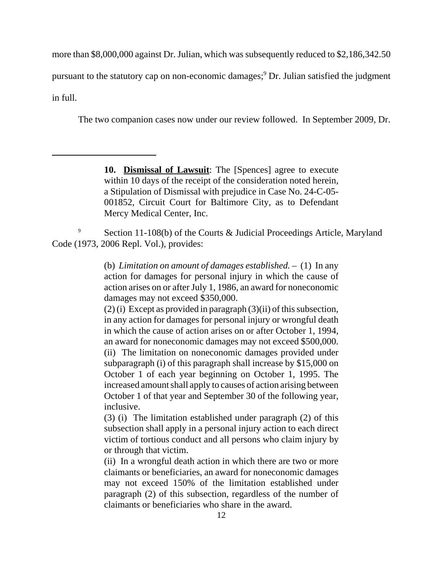more than \$8,000,000 against Dr. Julian, which was subsequently reduced to \$2,186,342.50

pursuant to the statutory cap on non-economic damages;<sup>9</sup> Dr. Julian satisfied the judgment

in full.

The two companion cases now under our review followed. In September 2009, Dr.

**10. Dismissal of Lawsuit**: The [Spences] agree to execute within 10 days of the receipt of the consideration noted herein, a Stipulation of Dismissal with prejudice in Case No. 24-C-05- 001852, Circuit Court for Baltimore City, as to Defendant Mercy Medical Center, Inc.

<sup>9</sup> Section 11-108(b) of the Courts & Judicial Proceedings Article, Maryland Code (1973, 2006 Repl. Vol.), provides:

> (b) *Limitation on amount of damages established.* – (1) In any action for damages for personal injury in which the cause of action arises on or after July 1, 1986, an award for noneconomic damages may not exceed \$350,000.

> $(2)$  (i) Except as provided in paragraph  $(3)$ (ii) of this subsection, in any action for damages for personal injury or wrongful death in which the cause of action arises on or after October 1, 1994, an award for noneconomic damages may not exceed \$500,000. (ii) The limitation on noneconomic damages provided under

> subparagraph (i) of this paragraph shall increase by \$15,000 on October 1 of each year beginning on October 1, 1995. The increased amount shall apply to causes of action arising between October 1 of that year and September 30 of the following year, inclusive.

> (3) (i) The limitation established under paragraph (2) of this subsection shall apply in a personal injury action to each direct victim of tortious conduct and all persons who claim injury by or through that victim.

> (ii) In a wrongful death action in which there are two or more claimants or beneficiaries, an award for noneconomic damages may not exceed 150% of the limitation established under paragraph (2) of this subsection, regardless of the number of claimants or beneficiaries who share in the award.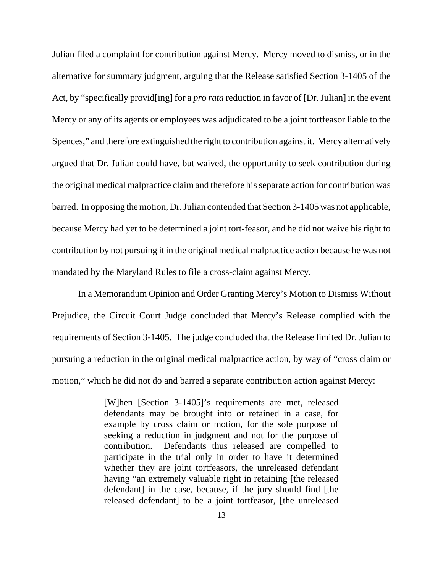Julian filed a complaint for contribution against Mercy. Mercy moved to dismiss, or in the alternative for summary judgment, arguing that the Release satisfied Section 3-1405 of the Act, by "specifically provid[ing] for a *pro rata* reduction in favor of [Dr. Julian] in the event Mercy or any of its agents or employees was adjudicated to be a joint tortfeasor liable to the Spences," and therefore extinguished the right to contribution against it. Mercy alternatively argued that Dr. Julian could have, but waived, the opportunity to seek contribution during the original medical malpractice claim and therefore his separate action for contribution was barred. In opposing the motion, Dr. Julian contended that Section 3-1405 was not applicable, because Mercy had yet to be determined a joint tort-feasor, and he did not waive his right to contribution by not pursuing it in the original medical malpractice action because he was not mandated by the Maryland Rules to file a cross-claim against Mercy.

In a Memorandum Opinion and Order Granting Mercy's Motion to Dismiss Without Prejudice, the Circuit Court Judge concluded that Mercy's Release complied with the requirements of Section 3-1405. The judge concluded that the Release limited Dr. Julian to pursuing a reduction in the original medical malpractice action, by way of "cross claim or motion," which he did not do and barred a separate contribution action against Mercy:

> [W]hen [Section 3-1405]'s requirements are met, released defendants may be brought into or retained in a case, for example by cross claim or motion, for the sole purpose of seeking a reduction in judgment and not for the purpose of contribution. Defendants thus released are compelled to participate in the trial only in order to have it determined whether they are joint tortfeasors, the unreleased defendant having "an extremely valuable right in retaining [the released defendant] in the case, because, if the jury should find [the released defendant] to be a joint tortfeasor, [the unreleased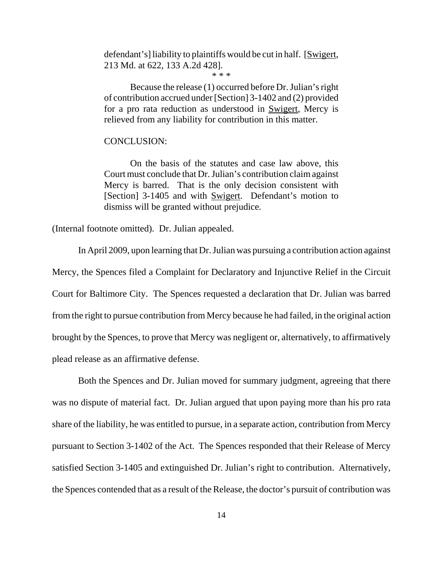defendant's] liability to plaintiffs would be cut in half. [Swigert, 213 Md. at 622, 133 A.2d 428].

\* \* \*

Because the release (1) occurred before Dr. Julian's right of contribution accrued under [Section] 3-1402 and (2) provided for a pro rata reduction as understood in Swigert, Mercy is relieved from any liability for contribution in this matter.

#### CONCLUSION:

On the basis of the statutes and case law above, this Court must conclude that Dr. Julian's contribution claim against Mercy is barred. That is the only decision consistent with [Section] 3-1405 and with Swigert. Defendant's motion to dismiss will be granted without prejudice.

(Internal footnote omitted). Dr. Julian appealed.

In April 2009, upon learning that Dr. Julian was pursuing a contribution action against Mercy, the Spences filed a Complaint for Declaratory and Injunctive Relief in the Circuit Court for Baltimore City. The Spences requested a declaration that Dr. Julian was barred from the right to pursue contribution from Mercy because he had failed, in the original action brought by the Spences, to prove that Mercy was negligent or, alternatively, to affirmatively plead release as an affirmative defense.

Both the Spences and Dr. Julian moved for summary judgment, agreeing that there was no dispute of material fact. Dr. Julian argued that upon paying more than his pro rata share of the liability, he was entitled to pursue, in a separate action, contribution from Mercy pursuant to Section 3-1402 of the Act. The Spences responded that their Release of Mercy satisfied Section 3-1405 and extinguished Dr. Julian's right to contribution. Alternatively, the Spences contended that as a result of the Release, the doctor's pursuit of contribution was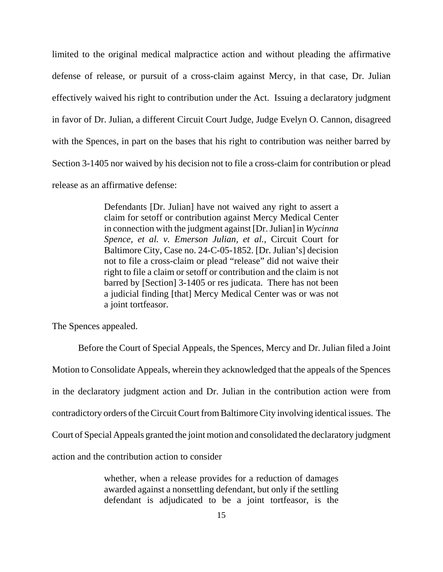limited to the original medical malpractice action and without pleading the affirmative defense of release, or pursuit of a cross-claim against Mercy, in that case, Dr. Julian effectively waived his right to contribution under the Act. Issuing a declaratory judgment in favor of Dr. Julian, a different Circuit Court Judge, Judge Evelyn O. Cannon, disagreed with the Spences, in part on the bases that his right to contribution was neither barred by Section 3-1405 nor waived by his decision not to file a cross-claim for contribution or plead release as an affirmative defense:

> Defendants [Dr. Julian] have not waived any right to assert a claim for setoff or contribution against Mercy Medical Center in connection with the judgment against [Dr. Julian] in *Wycinna Spence, et al. v. Emerson Julian, et al.*, Circuit Court for Baltimore City, Case no. 24-C-05-1852. [Dr. Julian's] decision not to file a cross-claim or plead "release" did not waive their right to file a claim or setoff or contribution and the claim is not barred by [Section] 3-1405 or res judicata. There has not been a judicial finding [that] Mercy Medical Center was or was not a joint tortfeasor.

The Spences appealed.

Before the Court of Special Appeals, the Spences, Mercy and Dr. Julian filed a Joint Motion to Consolidate Appeals, wherein they acknowledged that the appeals of the Spences in the declaratory judgment action and Dr. Julian in the contribution action were from contradictory orders of the Circuit Court from Baltimore City involving identical issues. The Court of Special Appeals granted the joint motion and consolidated the declaratory judgment action and the contribution action to consider

> whether, when a release provides for a reduction of damages awarded against a nonsettling defendant, but only if the settling defendant is adjudicated to be a joint tortfeasor, is the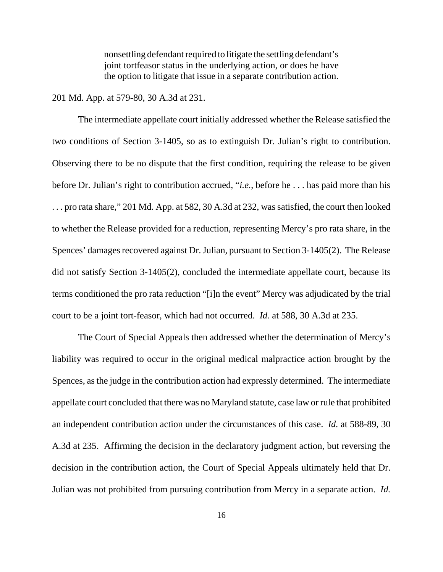nonsettling defendant required to litigate the settling defendant's joint tortfeasor status in the underlying action, or does he have the option to litigate that issue in a separate contribution action.

#### 201 Md. App. at 579-80, 30 A.3d at 231.

The intermediate appellate court initially addressed whether the Release satisfied the two conditions of Section 3-1405, so as to extinguish Dr. Julian's right to contribution. Observing there to be no dispute that the first condition, requiring the release to be given before Dr. Julian's right to contribution accrued, "*i.e.*, before he . . . has paid more than his . . . pro rata share," 201 Md. App. at 582, 30 A.3d at 232, was satisfied, the court then looked to whether the Release provided for a reduction, representing Mercy's pro rata share, in the Spences' damages recovered against Dr. Julian, pursuant to Section 3-1405(2). The Release did not satisfy Section 3-1405(2), concluded the intermediate appellate court, because its terms conditioned the pro rata reduction "[i]n the event" Mercy was adjudicated by the trial court to be a joint tort-feasor, which had not occurred. *Id.* at 588, 30 A.3d at 235.

The Court of Special Appeals then addressed whether the determination of Mercy's liability was required to occur in the original medical malpractice action brought by the Spences, as the judge in the contribution action had expressly determined. The intermediate appellate court concluded that there was no Maryland statute, case law or rule that prohibited an independent contribution action under the circumstances of this case. *Id.* at 588-89, 30 A.3d at 235. Affirming the decision in the declaratory judgment action, but reversing the decision in the contribution action, the Court of Special Appeals ultimately held that Dr. Julian was not prohibited from pursuing contribution from Mercy in a separate action. *Id.*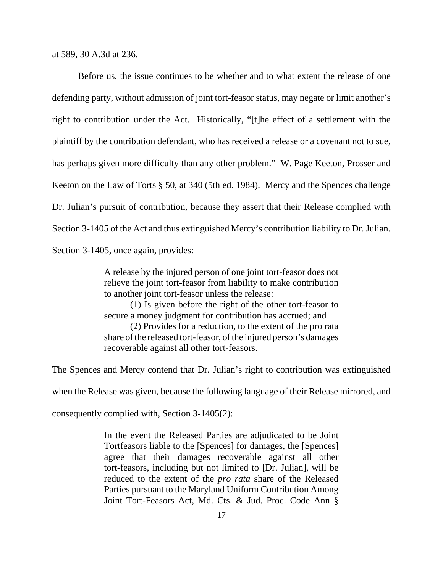at 589, 30 A.3d at 236.

Before us, the issue continues to be whether and to what extent the release of one defending party, without admission of joint tort-feasor status, may negate or limit another's right to contribution under the Act. Historically, "[t]he effect of a settlement with the plaintiff by the contribution defendant, who has received a release or a covenant not to sue, has perhaps given more difficulty than any other problem." W. Page Keeton, Prosser and Keeton on the Law of Torts § 50, at 340 (5th ed. 1984). Mercy and the Spences challenge Dr. Julian's pursuit of contribution, because they assert that their Release complied with Section 3-1405 of the Act and thus extinguished Mercy's contribution liability to Dr. Julian. Section 3-1405, once again, provides:

> A release by the injured person of one joint tort-feasor does not relieve the joint tort-feasor from liability to make contribution to another joint tort-feasor unless the release:

> (1) Is given before the right of the other tort-feasor to secure a money judgment for contribution has accrued; and (2) Provides for a reduction, to the extent of the pro rata share of the released tort-feasor, of the injured person's damages recoverable against all other tort-feasors.

The Spences and Mercy contend that Dr. Julian's right to contribution was extinguished

when the Release was given, because the following language of their Release mirrored, and

consequently complied with, Section 3-1405(2):

In the event the Released Parties are adjudicated to be Joint Tortfeasors liable to the [Spences] for damages, the [Spences] agree that their damages recoverable against all other tort-feasors, including but not limited to [Dr. Julian], will be reduced to the extent of the *pro rata* share of the Released Parties pursuant to the Maryland Uniform Contribution Among Joint Tort-Feasors Act, Md. Cts. & Jud. Proc. Code Ann §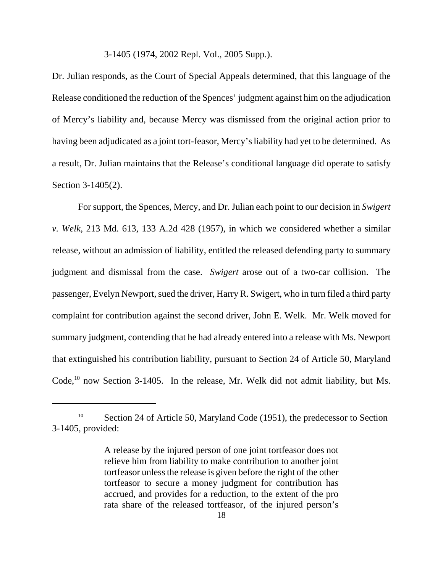#### 3-1405 (1974, 2002 Repl. Vol., 2005 Supp.).

Dr. Julian responds, as the Court of Special Appeals determined, that this language of the Release conditioned the reduction of the Spences' judgment against him on the adjudication of Mercy's liability and, because Mercy was dismissed from the original action prior to having been adjudicated as a joint tort-feasor, Mercy's liability had yet to be determined. As a result, Dr. Julian maintains that the Release's conditional language did operate to satisfy Section 3-1405(2).

For support, the Spences, Mercy, and Dr. Julian each point to our decision in *Swigert v. Welk*, 213 Md. 613, 133 A.2d 428 (1957), in which we considered whether a similar release, without an admission of liability, entitled the released defending party to summary judgment and dismissal from the case. *Swigert* arose out of a two-car collision. The passenger, Evelyn Newport, sued the driver, Harry R. Swigert, who in turn filed a third party complaint for contribution against the second driver, John E. Welk. Mr. Welk moved for summary judgment, contending that he had already entered into a release with Ms. Newport that extinguished his contribution liability, pursuant to Section 24 of Article 50, Maryland Code,<sup>10</sup> now Section 3-1405. In the release, Mr. Welk did not admit liability, but Ms.

<sup>&</sup>lt;sup>10</sup> Section 24 of Article 50, Maryland Code (1951), the predecessor to Section 3-1405, provided:

A release by the injured person of one joint tortfeasor does not relieve him from liability to make contribution to another joint tortfeasor unless the release is given before the right of the other tortfeasor to secure a money judgment for contribution has accrued, and provides for a reduction, to the extent of the pro rata share of the released tortfeasor, of the injured person's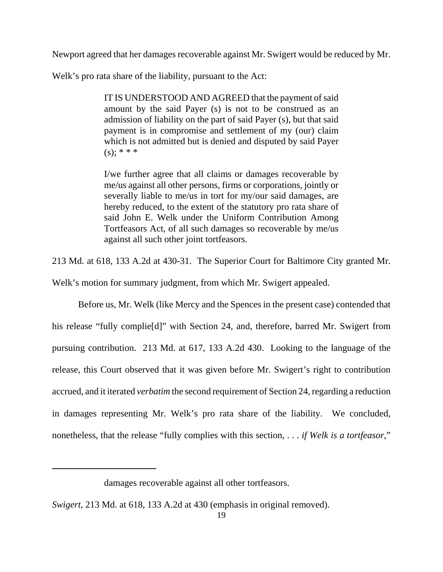Newport agreed that her damages recoverable against Mr. Swigert would be reduced by Mr.

Welk's pro rata share of the liability, pursuant to the Act:

IT IS UNDERSTOOD AND AGREED that the payment of said amount by the said Payer (s) is not to be construed as an admission of liability on the part of said Payer (s), but that said payment is in compromise and settlement of my (our) claim which is not admitted but is denied and disputed by said Payer  $(s)$ ; \* \* \*

I/we further agree that all claims or damages recoverable by me/us against all other persons, firms or corporations, jointly or severally liable to me/us in tort for my/our said damages, are hereby reduced, to the extent of the statutory pro rata share of said John E. Welk under the Uniform Contribution Among Tortfeasors Act, of all such damages so recoverable by me/us against all such other joint tortfeasors.

213 Md. at 618, 133 A.2d at 430-31. The Superior Court for Baltimore City granted Mr.

Welk's motion for summary judgment, from which Mr. Swigert appealed.

Before us, Mr. Welk (like Mercy and the Spences in the present case) contended that his release "fully complie[d]" with Section 24, and, therefore, barred Mr. Swigert from pursuing contribution. 213 Md. at 617, 133 A.2d 430. Looking to the language of the release, this Court observed that it was given before Mr. Swigert's right to contribution accrued, and it iterated *verbatim* the second requirement of Section 24, regarding a reduction in damages representing Mr. Welk's pro rata share of the liability. We concluded, nonetheless, that the release "fully complies with this section, . . . *if Welk is a tortfeasor*,"

damages recoverable against all other tortfeasors.

*Swigert*, 213 Md. at 618, 133 A.2d at 430 (emphasis in original removed).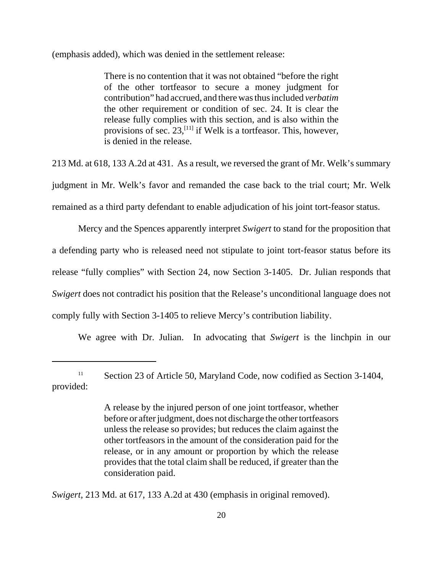(emphasis added), which was denied in the settlement release:

There is no contention that it was not obtained "before the right of the other tortfeasor to secure a money judgment for contribution" had accrued, and there was thus included *verbatim* the other requirement or condition of sec. 24. It is clear the release fully complies with this section, and is also within the provisions of sec.  $23$ ,<sup>[11]</sup> if Welk is a tortfeasor. This, however, is denied in the release.

213 Md. at 618, 133 A.2d at 431. As a result, we reversed the grant of Mr. Welk's summary judgment in Mr. Welk's favor and remanded the case back to the trial court; Mr. Welk remained as a third party defendant to enable adjudication of his joint tort-feasor status.

Mercy and the Spences apparently interpret *Swigert* to stand for the proposition that a defending party who is released need not stipulate to joint tort-feasor status before its release "fully complies" with Section 24, now Section 3-1405. Dr. Julian responds that *Swigert* does not contradict his position that the Release's unconditional language does not comply fully with Section 3-1405 to relieve Mercy's contribution liability.

We agree with Dr. Julian. In advocating that *Swigert* is the linchpin in our

*Swigert*, 213 Md. at 617, 133 A.2d at 430 (emphasis in original removed).

<sup>&</sup>lt;sup>11</sup> Section 23 of Article 50, Maryland Code, now codified as Section 3-1404, provided:

A release by the injured person of one joint tortfeasor, whether before or after judgment, does not discharge the other tortfeasors unless the release so provides; but reduces the claim against the other tortfeasors in the amount of the consideration paid for the release, or in any amount or proportion by which the release provides that the total claim shall be reduced, if greater than the consideration paid.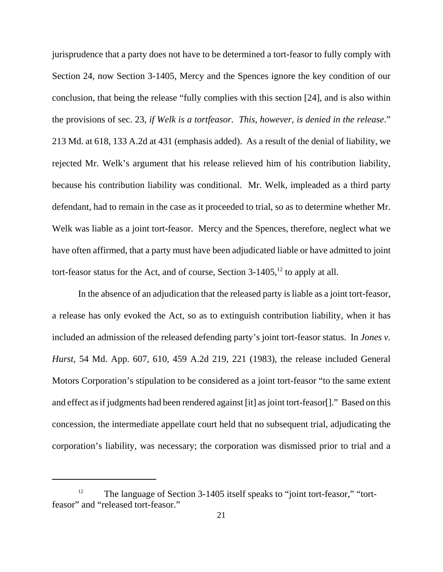jurisprudence that a party does not have to be determined a tort-feasor to fully comply with Section 24, now Section 3-1405, Mercy and the Spences ignore the key condition of our conclusion, that being the release "fully complies with this section [24], and is also within the provisions of sec. 23, *if Welk is a tortfeasor. This, however, is denied in the release*." 213 Md. at 618, 133 A.2d at 431 (emphasis added). As a result of the denial of liability, we rejected Mr. Welk's argument that his release relieved him of his contribution liability, because his contribution liability was conditional. Mr. Welk, impleaded as a third party defendant, had to remain in the case as it proceeded to trial, so as to determine whether Mr. Welk was liable as a joint tort-feasor. Mercy and the Spences, therefore, neglect what we have often affirmed, that a party must have been adjudicated liable or have admitted to joint tort-feasor status for the Act, and of course, Section  $3-1405$ ,<sup>12</sup> to apply at all.

In the absence of an adjudication that the released party is liable as a joint tort-feasor, a release has only evoked the Act, so as to extinguish contribution liability, when it has included an admission of the released defending party's joint tort-feasor status. In *Jones v. Hurst*, 54 Md. App. 607, 610, 459 A.2d 219, 221 (1983), the release included General Motors Corporation's stipulation to be considered as a joint tort-feasor "to the same extent and effect as if judgments had been rendered against [it] as joint tort-feasor[]." Based on this concession, the intermediate appellate court held that no subsequent trial, adjudicating the corporation's liability, was necessary; the corporation was dismissed prior to trial and a

<sup>&</sup>lt;sup>12</sup> The language of Section 3-1405 itself speaks to "joint tort-feasor," "tortfeasor" and "released tort-feasor."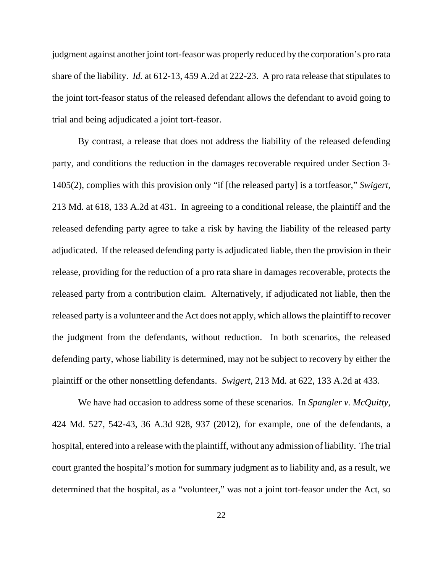judgment against another joint tort-feasor was properly reduced by the corporation's pro rata share of the liability. *Id.* at 612-13, 459 A.2d at 222-23. A pro rata release that stipulates to the joint tort-feasor status of the released defendant allows the defendant to avoid going to trial and being adjudicated a joint tort-feasor.

By contrast, a release that does not address the liability of the released defending party, and conditions the reduction in the damages recoverable required under Section 3- 1405(2), complies with this provision only "if [the released party] is a tortfeasor," *Swigert*, 213 Md. at 618, 133 A.2d at 431. In agreeing to a conditional release, the plaintiff and the released defending party agree to take a risk by having the liability of the released party adjudicated. If the released defending party is adjudicated liable, then the provision in their release, providing for the reduction of a pro rata share in damages recoverable, protects the released party from a contribution claim. Alternatively, if adjudicated not liable, then the released party is a volunteer and the Act does not apply, which allows the plaintiff to recover the judgment from the defendants, without reduction. In both scenarios, the released defending party, whose liability is determined, may not be subject to recovery by either the plaintiff or the other nonsettling defendants. *Swigert*, 213 Md. at 622, 133 A.2d at 433.

We have had occasion to address some of these scenarios. In *Spangler v. McQuitty*, 424 Md. 527, 542-43, 36 A.3d 928, 937 (2012), for example, one of the defendants, a hospital, entered into a release with the plaintiff, without any admission of liability. The trial court granted the hospital's motion for summary judgment as to liability and, as a result, we determined that the hospital, as a "volunteer," was not a joint tort-feasor under the Act, so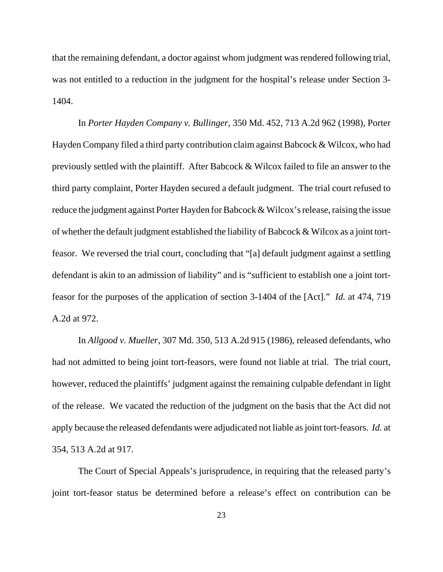that the remaining defendant, a doctor against whom judgment was rendered following trial, was not entitled to a reduction in the judgment for the hospital's release under Section 3- 1404.

In *Porter Hayden Company v. Bullinger*, 350 Md. 452, 713 A.2d 962 (1998), Porter Hayden Company filed a third party contribution claim against Babcock & Wilcox, who had previously settled with the plaintiff. After Babcock & Wilcox failed to file an answer to the third party complaint, Porter Hayden secured a default judgment. The trial court refused to reduce the judgment against Porter Hayden for Babcock & Wilcox's release, raising the issue of whether the default judgment established the liability of Babcock & Wilcox as a joint tortfeasor. We reversed the trial court, concluding that "[a] default judgment against a settling defendant is akin to an admission of liability" and is "sufficient to establish one a joint tortfeasor for the purposes of the application of section 3-1404 of the [Act]." *Id.* at 474, 719 A.2d at 972.

In *Allgood v. Mueller*, 307 Md. 350, 513 A.2d 915 (1986), released defendants, who had not admitted to being joint tort-feasors, were found not liable at trial. The trial court, however, reduced the plaintiffs' judgment against the remaining culpable defendant in light of the release. We vacated the reduction of the judgment on the basis that the Act did not apply because the released defendants were adjudicated not liable as joint tort-feasors. *Id.* at 354, 513 A.2d at 917.

The Court of Special Appeals's jurisprudence, in requiring that the released party's joint tort-feasor status be determined before a release's effect on contribution can be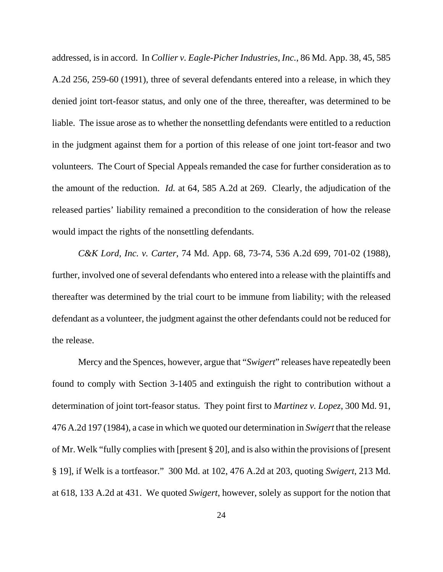addressed, is in accord. In *Collier v. Eagle-Picher Industries, Inc.*, 86 Md. App. 38, 45, 585 A.2d 256, 259-60 (1991), three of several defendants entered into a release, in which they denied joint tort-feasor status, and only one of the three, thereafter, was determined to be liable. The issue arose as to whether the nonsettling defendants were entitled to a reduction in the judgment against them for a portion of this release of one joint tort-feasor and two volunteers. The Court of Special Appeals remanded the case for further consideration as to the amount of the reduction. *Id.* at 64, 585 A.2d at 269. Clearly, the adjudication of the released parties' liability remained a precondition to the consideration of how the release would impact the rights of the nonsettling defendants.

*C&K Lord, Inc. v. Carter*, 74 Md. App. 68, 73-74, 536 A.2d 699, 701-02 (1988), further, involved one of several defendants who entered into a release with the plaintiffs and thereafter was determined by the trial court to be immune from liability; with the released defendant as a volunteer, the judgment against the other defendants could not be reduced for the release.

Mercy and the Spences, however, argue that "*Swigert*" releases have repeatedly been found to comply with Section 3-1405 and extinguish the right to contribution without a determination of joint tort-feasor status. They point first to *Martinez v. Lopez*, 300 Md. 91, 476 A.2d 197 (1984), a case in which we quoted our determination in *Swigert* that the release of Mr. Welk "fully complies with [present § 20], and is also within the provisions of [present § 19], if Welk is a tortfeasor." 300 Md. at 102, 476 A.2d at 203, quoting *Swigert*, 213 Md. at 618, 133 A.2d at 431. We quoted *Swigert*, however, solely as support for the notion that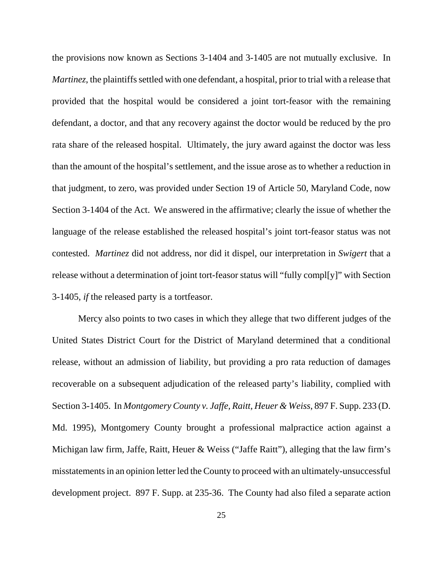the provisions now known as Sections 3-1404 and 3-1405 are not mutually exclusive. In *Martinez*, the plaintiffs settled with one defendant, a hospital, prior to trial with a release that provided that the hospital would be considered a joint tort-feasor with the remaining defendant, a doctor, and that any recovery against the doctor would be reduced by the pro rata share of the released hospital. Ultimately, the jury award against the doctor was less than the amount of the hospital's settlement, and the issue arose as to whether a reduction in that judgment, to zero, was provided under Section 19 of Article 50, Maryland Code, now Section 3-1404 of the Act. We answered in the affirmative; clearly the issue of whether the language of the release established the released hospital's joint tort-feasor status was not contested. *Martinez* did not address, nor did it dispel, our interpretation in *Swigert* that a release without a determination of joint tort-feasor status will "fully compl[y]" with Section 3-1405, *if* the released party is a tortfeasor.

Mercy also points to two cases in which they allege that two different judges of the United States District Court for the District of Maryland determined that a conditional release, without an admission of liability, but providing a pro rata reduction of damages recoverable on a subsequent adjudication of the released party's liability, complied with Section 3-1405. In *Montgomery County v. Jaffe, Raitt, Heuer & Weiss*, 897 F. Supp. 233 (D. Md. 1995), Montgomery County brought a professional malpractice action against a Michigan law firm, Jaffe, Raitt, Heuer & Weiss ("Jaffe Raitt"), alleging that the law firm's misstatements in an opinion letter led the County to proceed with an ultimately-unsuccessful development project. 897 F. Supp. at 235-36. The County had also filed a separate action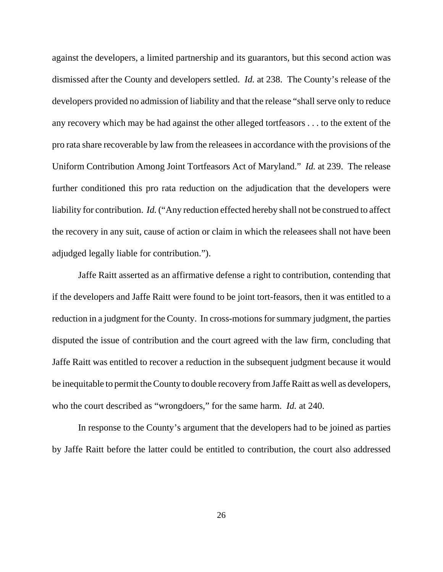against the developers, a limited partnership and its guarantors, but this second action was dismissed after the County and developers settled. *Id.* at 238. The County's release of the developers provided no admission of liability and that the release "shall serve only to reduce any recovery which may be had against the other alleged tortfeasors . . . to the extent of the pro rata share recoverable by law from the releasees in accordance with the provisions of the Uniform Contribution Among Joint Tortfeasors Act of Maryland." *Id.* at 239. The release further conditioned this pro rata reduction on the adjudication that the developers were liability for contribution. *Id.* ("Any reduction effected hereby shall not be construed to affect the recovery in any suit, cause of action or claim in which the releasees shall not have been adjudged legally liable for contribution.").

Jaffe Raitt asserted as an affirmative defense a right to contribution, contending that if the developers and Jaffe Raitt were found to be joint tort-feasors, then it was entitled to a reduction in a judgment for the County. In cross-motions for summary judgment, the parties disputed the issue of contribution and the court agreed with the law firm, concluding that Jaffe Raitt was entitled to recover a reduction in the subsequent judgment because it would be inequitable to permit the County to double recovery from Jaffe Raitt as well as developers, who the court described as "wrongdoers," for the same harm. *Id.* at 240.

In response to the County's argument that the developers had to be joined as parties by Jaffe Raitt before the latter could be entitled to contribution, the court also addressed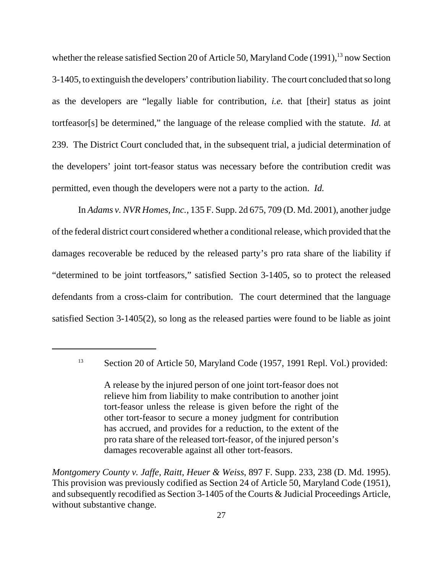whether the release satisfied Section 20 of Article 50, Maryland Code (1991),<sup>13</sup> now Section 3-1405, to extinguish the developers' contribution liability. The court concluded that so long as the developers are "legally liable for contribution, *i.e.* that [their] status as joint tortfeasor[s] be determined," the language of the release complied with the statute. *Id.* at 239. The District Court concluded that, in the subsequent trial, a judicial determination of the developers' joint tort-feasor status was necessary before the contribution credit was permitted, even though the developers were not a party to the action. *Id.*

In *Adams v. NVR Homes, Inc.*, 135 F. Supp. 2d 675, 709 (D. Md. 2001), another judge of the federal district court considered whether a conditional release, which provided that the damages recoverable be reduced by the released party's pro rata share of the liability if "determined to be joint tortfeasors," satisfied Section 3-1405, so to protect the released defendants from a cross-claim for contribution. The court determined that the language satisfied Section 3-1405(2), so long as the released parties were found to be liable as joint

<sup>&</sup>lt;sup>13</sup> Section 20 of Article 50, Maryland Code (1957, 1991 Repl. Vol.) provided:

A release by the injured person of one joint tort-feasor does not relieve him from liability to make contribution to another joint tort-feasor unless the release is given before the right of the other tort-feasor to secure a money judgment for contribution has accrued, and provides for a reduction, to the extent of the pro rata share of the released tort-feasor, of the injured person's damages recoverable against all other tort-feasors.

*Montgomery County v. Jaffe, Raitt, Heuer & Weiss*, 897 F. Supp. 233, 238 (D. Md. 1995). This provision was previously codified as Section 24 of Article 50, Maryland Code (1951), and subsequently recodified as Section 3-1405 of the Courts & Judicial Proceedings Article, without substantive change.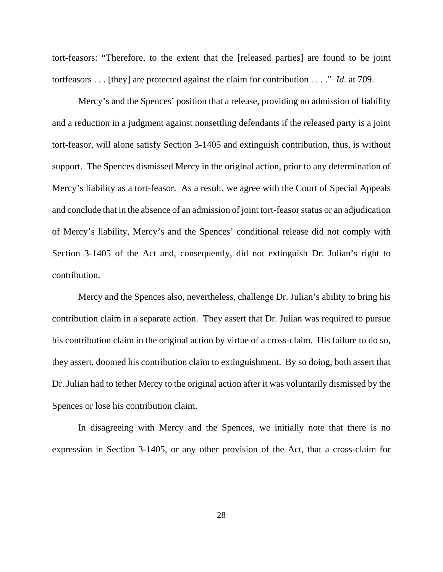tort-feasors: "Therefore, to the extent that the [released parties] are found to be joint tortfeasors . . . [they] are protected against the claim for contribution . . . ." *Id.* at 709.

Mercy's and the Spences' position that a release, providing no admission of liability and a reduction in a judgment against nonsettling defendants if the released party is a joint tort-feasor, will alone satisfy Section 3-1405 and extinguish contribution, thus, is without support. The Spences dismissed Mercy in the original action, prior to any determination of Mercy's liability as a tort-feasor. As a result, we agree with the Court of Special Appeals and conclude that in the absence of an admission of joint tort-feasor status or an adjudication of Mercy's liability, Mercy's and the Spences' conditional release did not comply with Section 3-1405 of the Act and, consequently, did not extinguish Dr. Julian's right to contribution.

Mercy and the Spences also, nevertheless, challenge Dr. Julian's ability to bring his contribution claim in a separate action. They assert that Dr. Julian was required to pursue his contribution claim in the original action by virtue of a cross-claim. His failure to do so, they assert, doomed his contribution claim to extinguishment. By so doing, both assert that Dr. Julian had to tether Mercy to the original action after it was voluntarily dismissed by the Spences or lose his contribution claim.

In disagreeing with Mercy and the Spences, we initially note that there is no expression in Section 3-1405, or any other provision of the Act, that a cross-claim for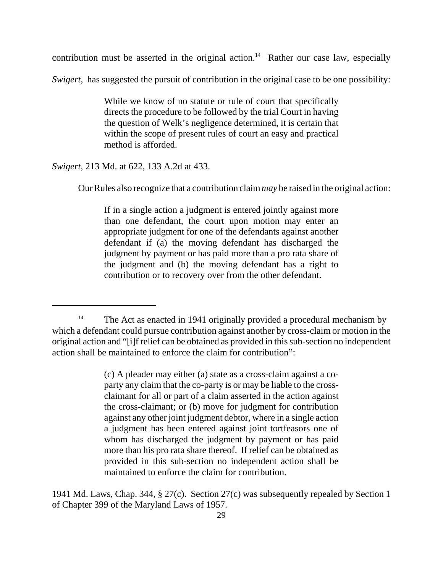contribution must be asserted in the original action.<sup>14</sup> Rather our case law, especially

*Swigert*, has suggested the pursuit of contribution in the original case to be one possibility:

While we know of no statute or rule of court that specifically directs the procedure to be followed by the trial Court in having the question of Welk's negligence determined, it is certain that within the scope of present rules of court an easy and practical method is afforded.

### *Swigert*, 213 Md. at 622, 133 A.2d at 433.

Our Rules also recognize that a contribution claim *may* be raised in the original action:

If in a single action a judgment is entered jointly against more than one defendant, the court upon motion may enter an appropriate judgment for one of the defendants against another defendant if (a) the moving defendant has discharged the judgment by payment or has paid more than a pro rata share of the judgment and (b) the moving defendant has a right to contribution or to recovery over from the other defendant.

(c) A pleader may either (a) state as a cross-claim against a coparty any claim that the co-party is or may be liable to the crossclaimant for all or part of a claim asserted in the action against the cross-claimant; or (b) move for judgment for contribution against any other joint judgment debtor, where in a single action a judgment has been entered against joint tortfeasors one of whom has discharged the judgment by payment or has paid more than his pro rata share thereof. If relief can be obtained as provided in this sub-section no independent action shall be maintained to enforce the claim for contribution.

1941 Md. Laws, Chap. 344, § 27(c). Section 27(c) was subsequently repealed by Section 1 of Chapter 399 of the Maryland Laws of 1957.

<sup>&</sup>lt;sup>14</sup> The Act as enacted in 1941 originally provided a procedural mechanism by which a defendant could pursue contribution against another by cross-claim or motion in the original action and "[i]f relief can be obtained as provided in this sub-section no independent action shall be maintained to enforce the claim for contribution":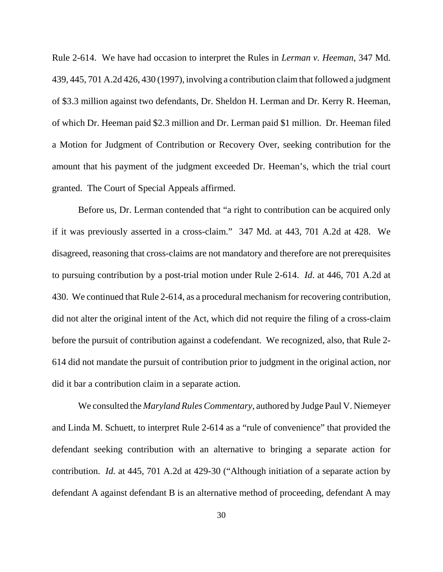Rule 2-614. We have had occasion to interpret the Rules in *Lerman v. Heeman*, 347 Md. 439, 445, 701 A.2d 426, 430 (1997), involving a contribution claim that followed a judgment of \$3.3 million against two defendants, Dr. Sheldon H. Lerman and Dr. Kerry R. Heeman, of which Dr. Heeman paid \$2.3 million and Dr. Lerman paid \$1 million. Dr. Heeman filed a Motion for Judgment of Contribution or Recovery Over, seeking contribution for the amount that his payment of the judgment exceeded Dr. Heeman's, which the trial court granted. The Court of Special Appeals affirmed.

Before us, Dr. Lerman contended that "a right to contribution can be acquired only if it was previously asserted in a cross-claim." 347 Md. at 443, 701 A.2d at 428. We disagreed, reasoning that cross-claims are not mandatory and therefore are not prerequisites to pursuing contribution by a post-trial motion under Rule 2-614. *Id*. at 446, 701 A.2d at 430. We continued that Rule 2-614, as a procedural mechanism for recovering contribution, did not alter the original intent of the Act, which did not require the filing of a cross-claim before the pursuit of contribution against a codefendant. We recognized, also, that Rule 2- 614 did not mandate the pursuit of contribution prior to judgment in the original action, nor did it bar a contribution claim in a separate action.

We consulted the *Maryland Rules Commentary*, authored by Judge Paul V. Niemeyer and Linda M. Schuett, to interpret Rule 2-614 as a "rule of convenience" that provided the defendant seeking contribution with an alternative to bringing a separate action for contribution. *Id.* at 445, 701 A.2d at 429-30 ("Although initiation of a separate action by defendant A against defendant B is an alternative method of proceeding, defendant A may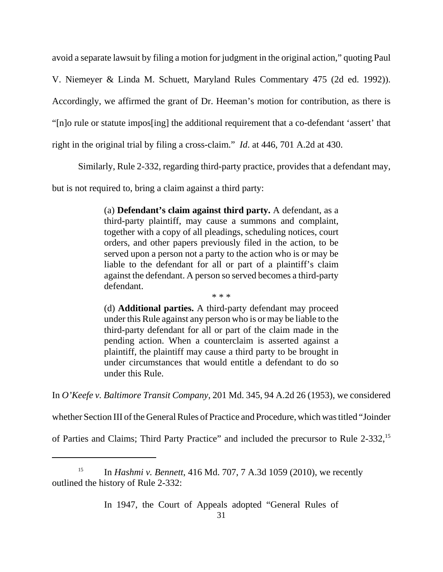avoid a separate lawsuit by filing a motion for judgment in the original action," quoting Paul

V. Niemeyer & Linda M. Schuett, Maryland Rules Commentary 475 (2d ed. 1992)).

Accordingly, we affirmed the grant of Dr. Heeman's motion for contribution, as there is

"[n]o rule or statute impos[ing] the additional requirement that a co-defendant 'assert' that

right in the original trial by filing a cross-claim." *Id*. at 446, 701 A.2d at 430.

Similarly, Rule 2-332, regarding third-party practice, provides that a defendant may,

but is not required to, bring a claim against a third party:

(a) **Defendant's claim against third party.** A defendant, as a third-party plaintiff, may cause a summons and complaint, together with a copy of all pleadings, scheduling notices, court orders, and other papers previously filed in the action, to be served upon a person not a party to the action who is or may be liable to the defendant for all or part of a plaintiff's claim against the defendant. A person so served becomes a third-party defendant.

\* \* \*

(d) **Additional parties.** A third-party defendant may proceed under this Rule against any person who is or may be liable to the third-party defendant for all or part of the claim made in the pending action. When a counterclaim is asserted against a plaintiff, the plaintiff may cause a third party to be brought in under circumstances that would entitle a defendant to do so under this Rule.

In *O'Keefe v. Baltimore Transit Company*, 201 Md. 345, 94 A.2d 26 (1953), we considered

whether Section III of the General Rules of Practice and Procedure, which was titled "Joinder

of Parties and Claims; Third Party Practice" and included the precursor to Rule 2-332,15

In 1947, the Court of Appeals adopted "General Rules of

<sup>&</sup>lt;sup>15</sup> In *Hashmi v. Bennett*, 416 Md. 707, 7 A.3d 1059 (2010), we recently outlined the history of Rule 2-332: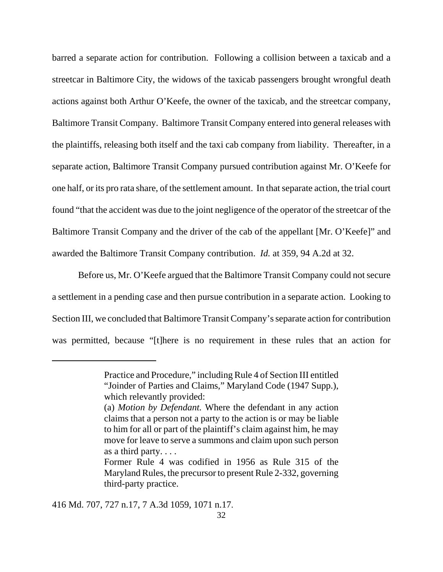barred a separate action for contribution. Following a collision between a taxicab and a streetcar in Baltimore City, the widows of the taxicab passengers brought wrongful death actions against both Arthur O'Keefe, the owner of the taxicab, and the streetcar company, Baltimore Transit Company. Baltimore Transit Company entered into general releases with the plaintiffs, releasing both itself and the taxi cab company from liability. Thereafter, in a separate action, Baltimore Transit Company pursued contribution against Mr. O'Keefe for one half, or its pro rata share, of the settlement amount. In that separate action, the trial court found "that the accident was due to the joint negligence of the operator of the streetcar of the Baltimore Transit Company and the driver of the cab of the appellant [Mr. O'Keefe]" and awarded the Baltimore Transit Company contribution. *Id.* at 359, 94 A.2d at 32.

Before us, Mr. O'Keefe argued that the Baltimore Transit Company could not secure a settlement in a pending case and then pursue contribution in a separate action. Looking to Section III, we concluded that Baltimore Transit Company's separate action for contribution was permitted, because "[t]here is no requirement in these rules that an action for

416 Md. 707, 727 n.17, 7 A.3d 1059, 1071 n.17.

Practice and Procedure," including Rule 4 of Section III entitled "Joinder of Parties and Claims," Maryland Code (1947 Supp.), which relevantly provided:

<sup>(</sup>a) *Motion by Defendant.* Where the defendant in any action claims that a person not a party to the action is or may be liable to him for all or part of the plaintiff's claim against him, he may move for leave to serve a summons and claim upon such person as a third party. . . .

Former Rule 4 was codified in 1956 as Rule 315 of the Maryland Rules, the precursor to present Rule 2-332, governing third-party practice.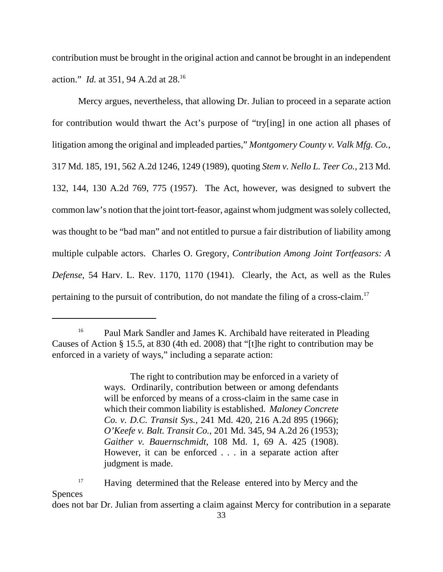contribution must be brought in the original action and cannot be brought in an independent action." *Id.* at 351, 94 A.2d at 28.16

Mercy argues, nevertheless, that allowing Dr. Julian to proceed in a separate action for contribution would thwart the Act's purpose of "try[ing] in one action all phases of litigation among the original and impleaded parties," *Montgomery County v. Valk Mfg. Co.*, 317 Md. 185, 191, 562 A.2d 1246, 1249 (1989), quoting *Stem v. Nello L. Teer Co.*, 213 Md. 132, 144, 130 A.2d 769, 775 (1957). The Act, however, was designed to subvert the common law's notion that the joint tort-feasor, against whom judgment was solely collected, was thought to be "bad man" and not entitled to pursue a fair distribution of liability among multiple culpable actors. Charles O. Gregory, *Contribution Among Joint Tortfeasors: A Defense*, 54 Harv. L. Rev. 1170, 1170 (1941). Clearly, the Act, as well as the Rules pertaining to the pursuit of contribution, do not mandate the filing of a cross-claim.<sup>17</sup>

does not bar Dr. Julian from asserting a claim against Mercy for contribution in a separate

<sup>&</sup>lt;sup>16</sup> Paul Mark Sandler and James K. Archibald have reiterated in Pleading Causes of Action § 15.5, at 830 (4th ed. 2008) that "[t]he right to contribution may be enforced in a variety of ways," including a separate action:

The right to contribution may be enforced in a variety of ways. Ordinarily, contribution between or among defendants will be enforced by means of a cross-claim in the same case in which their common liability is established. *Maloney Concrete Co. v. D.C. Transit Sys.*, 241 Md. 420, 216 A.2d 895 (1966); *O'Keefe v. Balt. Transit Co.*, 201 Md. 345, 94 A.2d 26 (1953); *Gaither v. Bauernschmidt*, 108 Md. 1, 69 A. 425 (1908). However, it can be enforced . . . in a separate action after judgment is made.

<sup>&</sup>lt;sup>17</sup> Having determined that the Release entered into by Mercy and the Spences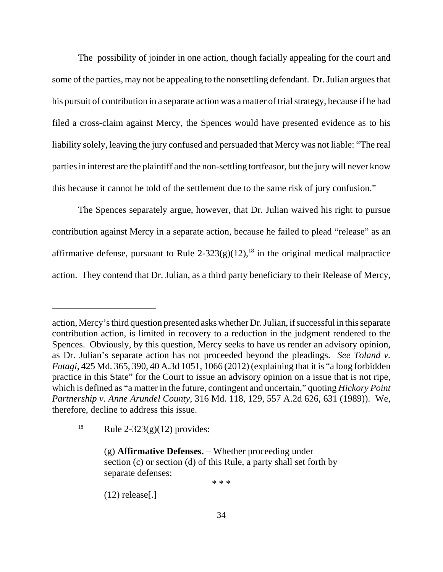The possibility of joinder in one action, though facially appealing for the court and some of the parties, may not be appealing to the nonsettling defendant. Dr. Julian argues that his pursuit of contribution in a separate action was a matter of trial strategy, because if he had filed a cross-claim against Mercy, the Spences would have presented evidence as to his liability solely, leaving the jury confused and persuaded that Mercy was not liable: "The real parties in interest are the plaintiff and the non-settling tortfeasor, but the jury will never know this because it cannot be told of the settlement due to the same risk of jury confusion."

The Spences separately argue, however, that Dr. Julian waived his right to pursue contribution against Mercy in a separate action, because he failed to plead "release" as an affirmative defense, pursuant to Rule  $2-323(g)(12)$ ,<sup>18</sup> in the original medical malpractice action. They contend that Dr. Julian, as a third party beneficiary to their Release of Mercy,

\* \* \*

 $(12)$  release[.]

action, Mercy's third question presented asks whether Dr. Julian, if successful in this separate contribution action, is limited in recovery to a reduction in the judgment rendered to the Spences. Obviously, by this question, Mercy seeks to have us render an advisory opinion, as Dr. Julian's separate action has not proceeded beyond the pleadings. *See Toland v. Futagi*, 425 Md. 365, 390, 40 A.3d 1051, 1066 (2012) (explaining that it is "a long forbidden practice in this State" for the Court to issue an advisory opinion on a issue that is not ripe, which is defined as "a matter in the future, contingent and uncertain," quoting *Hickory Point Partnership v. Anne Arundel County*, 316 Md. 118, 129, 557 A.2d 626, 631 (1989)). We, therefore, decline to address this issue.

<sup>&</sup>lt;sup>18</sup> Rule 2-323(g)(12) provides:

<sup>(</sup>g) **Affirmative Defenses.** – Whether proceeding under section (c) or section (d) of this Rule, a party shall set forth by separate defenses: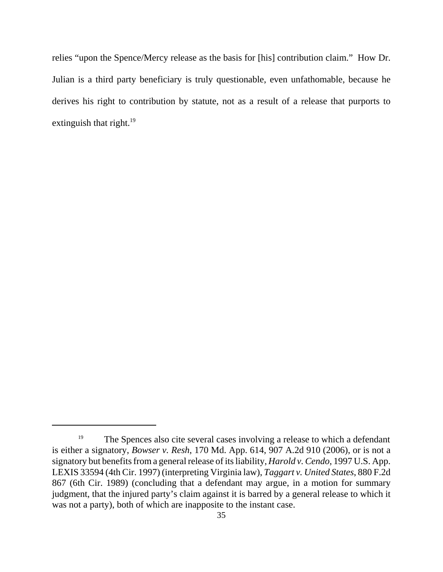relies "upon the Spence/Mercy release as the basis for [his] contribution claim." How Dr. Julian is a third party beneficiary is truly questionable, even unfathomable, because he derives his right to contribution by statute, not as a result of a release that purports to extinguish that right. $^{19}$ 

<sup>&</sup>lt;sup>19</sup> The Spences also cite several cases involving a release to which a defendant is either a signatory, *Bowser v. Resh*, 170 Md. App. 614, 907 A.2d 910 (2006), or is not a signatory but benefits from a general release of its liability, *Harold v. Cendo*, 1997 U.S. App. LEXIS 33594 (4th Cir. 1997) (interpreting Virginia law), *Taggart v. United States*, 880 F.2d 867 (6th Cir. 1989) (concluding that a defendant may argue, in a motion for summary judgment, that the injured party's claim against it is barred by a general release to which it was not a party), both of which are inapposite to the instant case.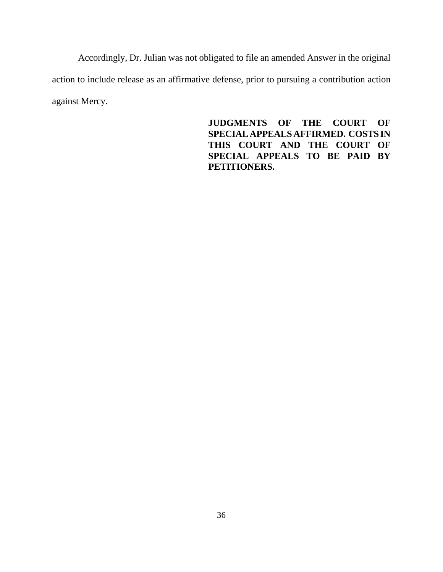Accordingly, Dr. Julian was not obligated to file an amended Answer in the original action to include release as an affirmative defense, prior to pursuing a contribution action against Mercy.

> **JUDGMENTS OF THE COURT OF SPECIAL APPEALS AFFIRMED. COSTS IN THIS COURT AND THE COURT OF SPECIAL APPEALS TO BE PAID BY PETITIONERS.**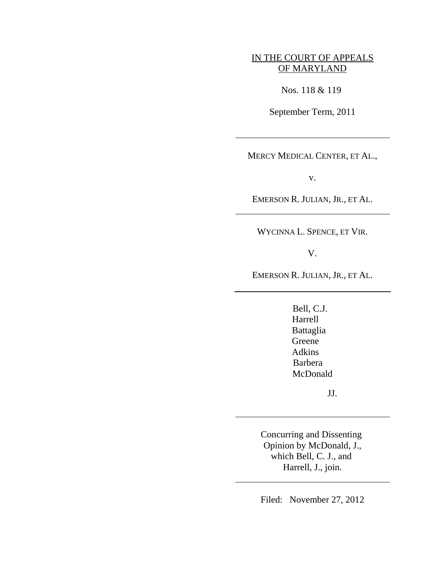# IN THE COURT OF APPEALS OF MARYLAND

Nos. 118 & 119

September Term, 2011

 $\overline{a}$ 

 $\overline{a}$ 

 $\overline{a}$ 

 $\overline{a}$ 

MERCY MEDICAL CENTER, ET AL.,

v.

EMERSON R. JULIAN, JR., ET AL.

WYCINNA L. SPENCE, ET VIR.

V.

EMERSON R. JULIAN, JR., ET AL.

Bell, C.J. Harrell Battaglia Greene Adkins Barbera McDonald

JJ.

Concurring and Dissenting Opinion by McDonald, J., which Bell, C. J., and Harrell, J., join.

Filed: November 27, 2012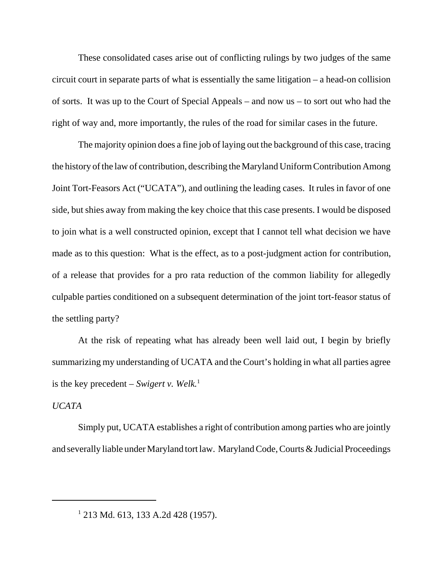These consolidated cases arise out of conflicting rulings by two judges of the same circuit court in separate parts of what is essentially the same litigation – a head-on collision of sorts. It was up to the Court of Special Appeals – and now us – to sort out who had the right of way and, more importantly, the rules of the road for similar cases in the future.

The majority opinion does a fine job of laying out the background of this case, tracing the history of the law of contribution, describing the Maryland Uniform Contribution Among Joint Tort-Feasors Act ("UCATA"), and outlining the leading cases. It rules in favor of one side, but shies away from making the key choice that this case presents. I would be disposed to join what is a well constructed opinion, except that I cannot tell what decision we have made as to this question: What is the effect, as to a post-judgment action for contribution, of a release that provides for a pro rata reduction of the common liability for allegedly culpable parties conditioned on a subsequent determination of the joint tort-feasor status of the settling party?

At the risk of repeating what has already been well laid out, I begin by briefly summarizing my understanding of UCATA and the Court's holding in what all parties agree is the key precedent – *Swigert v. Welk*.<sup>1</sup>

## *UCATA*

Simply put, UCATA establishes a right of contribution among parties who are jointly and severally liable under Maryland tort law. Maryland Code, Courts & Judicial Proceedings

<sup>&</sup>lt;sup>1</sup> 213 Md. 613, 133 A.2d 428 (1957).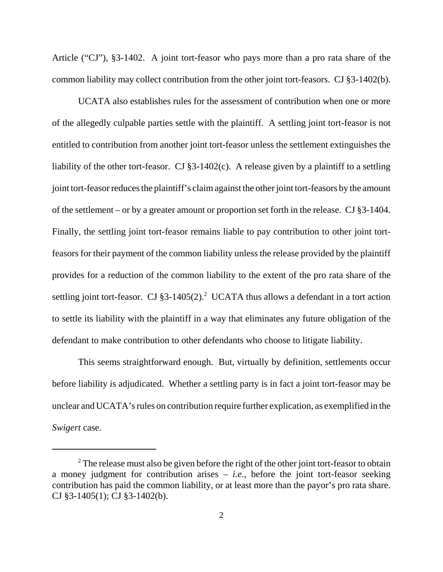Article ("CJ"), §3-1402. A joint tort-feasor who pays more than a pro rata share of the common liability may collect contribution from the other joint tort-feasors. CJ §3-1402(b).

 UCATA also establishes rules for the assessment of contribution when one or more of the allegedly culpable parties settle with the plaintiff. A settling joint tort-feasor is not entitled to contribution from another joint tort-feasor unless the settlement extinguishes the liability of the other tort-feasor. CJ §3-1402(c). A release given by a plaintiff to a settling joint tort-feasor reduces the plaintiff's claim against the other joint tort-feasors by the amount of the settlement – or by a greater amount or proportion set forth in the release. CJ §3-1404. Finally, the settling joint tort-feasor remains liable to pay contribution to other joint tortfeasors for their payment of the common liability unless the release provided by the plaintiff provides for a reduction of the common liability to the extent of the pro rata share of the settling joint tort-feasor. CJ  $\S3-1405(2)$ .<sup>2</sup> UCATA thus allows a defendant in a tort action to settle its liability with the plaintiff in a way that eliminates any future obligation of the defendant to make contribution to other defendants who choose to litigate liability.

This seems straightforward enough. But, virtually by definition, settlements occur before liability is adjudicated. Whether a settling party is in fact a joint tort-feasor may be unclear and UCATA's rules on contribution require further explication, as exemplified in the *Swigert* case.

 $2^2$  The release must also be given before the right of the other joint tort-feasor to obtain a money judgment for contribution arises – *i.e.*, before the joint tort-feasor seeking contribution has paid the common liability, or at least more than the payor's pro rata share. CJ §3-1405(1); CJ §3-1402(b).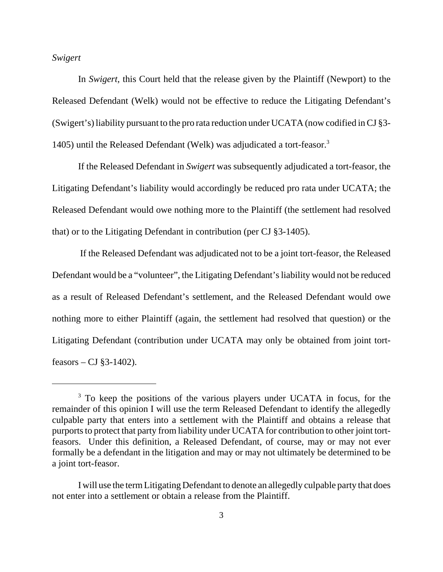*Swigert*

In *Swigert,* this Court held that the release given by the Plaintiff (Newport) to the Released Defendant (Welk) would not be effective to reduce the Litigating Defendant's (Swigert's) liability pursuant to the pro rata reduction under UCATA (now codified in CJ §3- 1405) until the Released Defendant (Welk) was adjudicated a tort-feasor.3

If the Released Defendant in *Swigert* was subsequently adjudicated a tort-feasor, the Litigating Defendant's liability would accordingly be reduced pro rata under UCATA; the Released Defendant would owe nothing more to the Plaintiff (the settlement had resolved that) or to the Litigating Defendant in contribution (per CJ §3-1405).

 If the Released Defendant was adjudicated not to be a joint tort-feasor, the Released Defendant would be a "volunteer", the Litigating Defendant's liability would not be reduced as a result of Released Defendant's settlement, and the Released Defendant would owe nothing more to either Plaintiff (again, the settlement had resolved that question) or the Litigating Defendant (contribution under UCATA may only be obtained from joint tortfeasors – CJ  $\S$ 3-1402).

<sup>&</sup>lt;sup>3</sup> To keep the positions of the various players under UCATA in focus, for the remainder of this opinion I will use the term Released Defendant to identify the allegedly culpable party that enters into a settlement with the Plaintiff and obtains a release that purports to protect that party from liability under UCATA for contribution to other joint tortfeasors. Under this definition, a Released Defendant, of course, may or may not ever formally be a defendant in the litigation and may or may not ultimately be determined to be a joint tort-feasor.

I will use the term Litigating Defendant to denote an allegedly culpable party that does not enter into a settlement or obtain a release from the Plaintiff.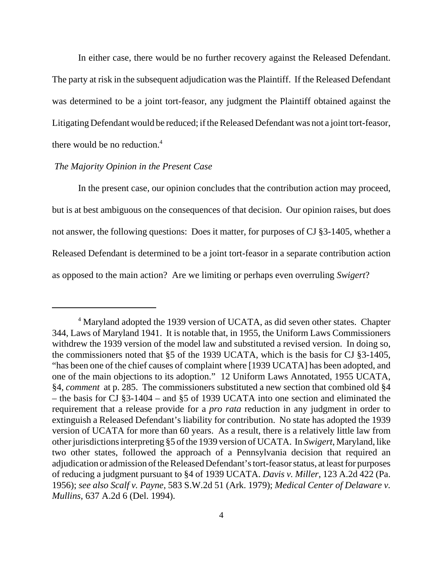In either case, there would be no further recovery against the Released Defendant. The party at risk in the subsequent adjudication was the Plaintiff. If the Released Defendant was determined to be a joint tort-feasor, any judgment the Plaintiff obtained against the Litigating Defendant would be reduced; if the Released Defendant was not a joint tort-feasor, there would be no reduction. $4$ 

## *The Majority Opinion in the Present Case*

In the present case, our opinion concludes that the contribution action may proceed, but is at best ambiguous on the consequences of that decision. Our opinion raises, but does not answer, the following questions: Does it matter, for purposes of CJ §3-1405, whether a Released Defendant is determined to be a joint tort-feasor in a separate contribution action as opposed to the main action? Are we limiting or perhaps even overruling *Swigert*?

<sup>&</sup>lt;sup>4</sup> Maryland adopted the 1939 version of UCATA, as did seven other states. Chapter 344, Laws of Maryland 1941. It is notable that, in 1955, the Uniform Laws Commissioners withdrew the 1939 version of the model law and substituted a revised version. In doing so, the commissioners noted that §5 of the 1939 UCATA, which is the basis for CJ §3-1405, "has been one of the chief causes of complaint where [1939 UCATA] has been adopted, and one of the main objections to its adoption." 12 Uniform Laws Annotated, 1955 UCATA, §4, *comment* at p. 285. The commissioners substituted a new section that combined old §4 – the basis for CJ §3-1404 – and §5 of 1939 UCATA into one section and eliminated the requirement that a release provide for a *pro rata* reduction in any judgment in order to extinguish a Released Defendant's liability for contribution. No state has adopted the 1939 version of UCATA for more than 60 years. As a result, there is a relatively little law from other jurisdictions interpreting §5 of the 1939 version of UCATA. In *Swigert*, Maryland, like two other states, followed the approach of a Pennsylvania decision that required an adjudication or admission of the Released Defendant's tort-feasor status, at least for purposes of reducing a judgment pursuant to §4 of 1939 UCATA. *Davis v. Miller*, 123 A.2d 422 (Pa. 1956); *see also Scalf v. Payne*, 583 S.W.2d 51 (Ark. 1979); *Medical Center of Delaware v. Mullins*, 637 A.2d 6 (Del. 1994).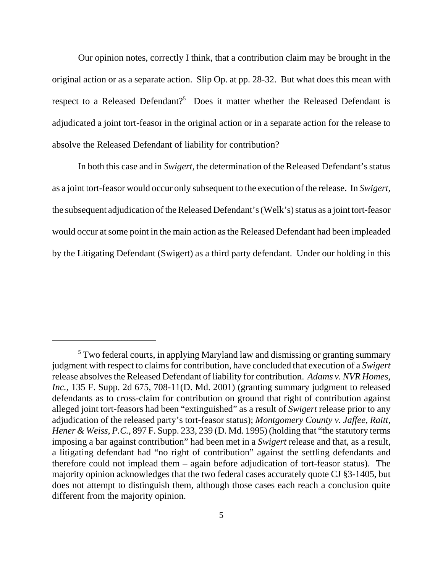Our opinion notes, correctly I think, that a contribution claim may be brought in the original action or as a separate action. Slip Op. at pp. 28-32. But what does this mean with respect to a Released Defendant?<sup>5</sup> Does it matter whether the Released Defendant is adjudicated a joint tort-feasor in the original action or in a separate action for the release to absolve the Released Defendant of liability for contribution?

In both this case and in *Swigert*, the determination of the Released Defendant's status as a joint tort-feasor would occur only subsequent to the execution of the release. In *Swigert*, the subsequent adjudication of the Released Defendant's (Welk's) status as a joint tort-feasor would occur at some point in the main action as the Released Defendant had been impleaded by the Litigating Defendant (Swigert) as a third party defendant. Under our holding in this

<sup>&</sup>lt;sup>5</sup> Two federal courts, in applying Maryland law and dismissing or granting summary judgment with respect to claims for contribution, have concluded that execution of a *Swigert* release absolves the Released Defendant of liability for contribution. *Adams v. NVR Homes, Inc.*, 135 F. Supp. 2d 675, 708-11(D. Md. 2001) (granting summary judgment to released defendants as to cross-claim for contribution on ground that right of contribution against alleged joint tort-feasors had been "extinguished" as a result of *Swigert* release prior to any adjudication of the released party's tort-feasor status); *Montgomery County v. Jaffee, Raitt, Hener & Weiss, P.C.*, 897 F. Supp. 233, 239 (D. Md. 1995) (holding that "the statutory terms imposing a bar against contribution" had been met in a *Swigert* release and that, as a result, a litigating defendant had "no right of contribution" against the settling defendants and therefore could not implead them – again before adjudication of tort-feasor status). The majority opinion acknowledges that the two federal cases accurately quote CJ §3-1405, but does not attempt to distinguish them, although those cases each reach a conclusion quite different from the majority opinion.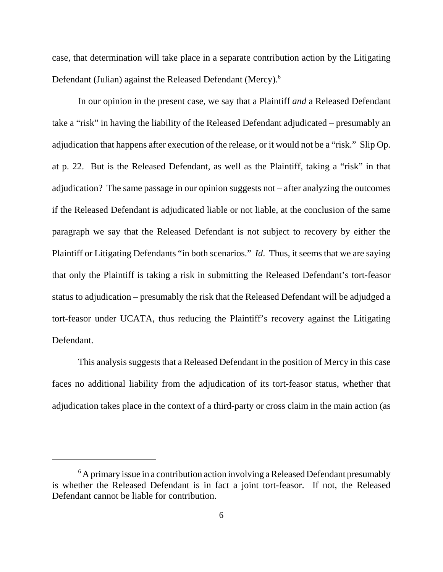case, that determination will take place in a separate contribution action by the Litigating Defendant (Julian) against the Released Defendant (Mercy).<sup>6</sup>

In our opinion in the present case, we say that a Plaintiff *and* a Released Defendant take a "risk" in having the liability of the Released Defendant adjudicated – presumably an adjudication that happens after execution of the release, or it would not be a "risk." Slip Op. at p. 22. But is the Released Defendant, as well as the Plaintiff, taking a "risk" in that adjudication? The same passage in our opinion suggests not – after analyzing the outcomes if the Released Defendant is adjudicated liable or not liable, at the conclusion of the same paragraph we say that the Released Defendant is not subject to recovery by either the Plaintiff or Litigating Defendants "in both scenarios." *Id*. Thus, it seems that we are saying that only the Plaintiff is taking a risk in submitting the Released Defendant's tort-feasor status to adjudication – presumably the risk that the Released Defendant will be adjudged a tort-feasor under UCATA, thus reducing the Plaintiff's recovery against the Litigating Defendant.

This analysis suggests that a Released Defendant in the position of Mercy in this case faces no additional liability from the adjudication of its tort-feasor status, whether that adjudication takes place in the context of a third-party or cross claim in the main action (as

 $6$  A primary issue in a contribution action involving a Released Defendant presumably is whether the Released Defendant is in fact a joint tort-feasor. If not, the Released Defendant cannot be liable for contribution.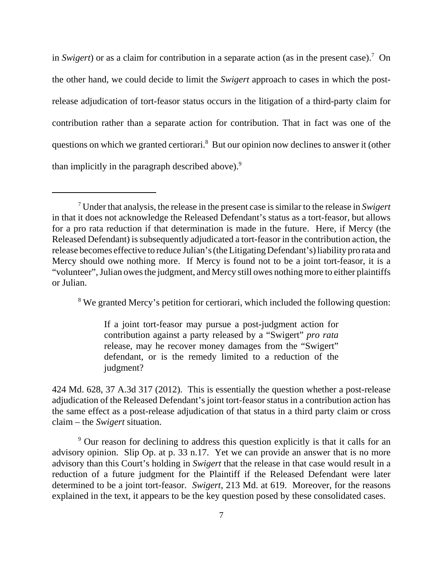in *Swigert*) or as a claim for contribution in a separate action (as in the present case).<sup>7</sup> On the other hand, we could decide to limit the *Swigert* approach to cases in which the postrelease adjudication of tort-feasor status occurs in the litigation of a third-party claim for contribution rather than a separate action for contribution. That in fact was one of the questions on which we granted certiorari.<sup>8</sup> But our opinion now declines to answer it (other than implicitly in the paragraph described above).<sup>9</sup>

<sup>8</sup> We granted Mercy's petition for certiorari, which included the following question:

If a joint tort-feasor may pursue a post-judgment action for contribution against a party released by a "Swigert" *pro rata* release, may he recover money damages from the "Swigert" defendant, or is the remedy limited to a reduction of the judgment?

424 Md. 628, 37 A.3d 317 (2012). This is essentially the question whether a post-release adjudication of the Released Defendant's joint tort-feasor status in a contribution action has the same effect as a post-release adjudication of that status in a third party claim or cross claim – the *Swigert* situation.

<sup>9</sup> Our reason for declining to address this question explicitly is that it calls for an advisory opinion. Slip Op. at p. 33 n.17. Yet we can provide an answer that is no more advisory than this Court's holding in *Swigert* that the release in that case would result in a reduction of a future judgment for the Plaintiff if the Released Defendant were later determined to be a joint tort-feasor. *Swigert*, 213 Md. at 619. Moreover, for the reasons explained in the text, it appears to be the key question posed by these consolidated cases.

<sup>7</sup> Under that analysis, the release in the present case is similar to the release in *Swigert* in that it does not acknowledge the Released Defendant's status as a tort-feasor, but allows for a pro rata reduction if that determination is made in the future. Here, if Mercy (the Released Defendant) is subsequently adjudicated a tort-feasor in the contribution action, the release becomes effective to reduce Julian's (the Litigating Defendant's) liability pro rata and Mercy should owe nothing more. If Mercy is found not to be a joint tort-feasor, it is a "volunteer", Julian owes the judgment, and Mercy still owes nothing more to either plaintiffs or Julian.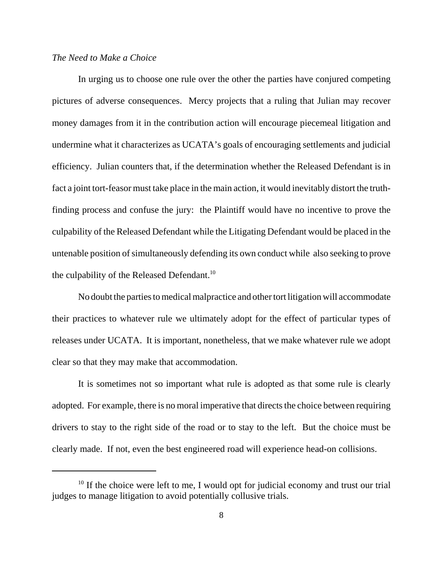### *The Need to Make a Choice*

In urging us to choose one rule over the other the parties have conjured competing pictures of adverse consequences. Mercy projects that a ruling that Julian may recover money damages from it in the contribution action will encourage piecemeal litigation and undermine what it characterizes as UCATA's goals of encouraging settlements and judicial efficiency. Julian counters that, if the determination whether the Released Defendant is in fact a joint tort-feasor must take place in the main action, it would inevitably distort the truthfinding process and confuse the jury: the Plaintiff would have no incentive to prove the culpability of the Released Defendant while the Litigating Defendant would be placed in the untenable position of simultaneously defending its own conduct while also seeking to prove the culpability of the Released Defendant.<sup>10</sup>

No doubt the parties to medical malpractice and other tort litigation will accommodate their practices to whatever rule we ultimately adopt for the effect of particular types of releases under UCATA. It is important, nonetheless, that we make whatever rule we adopt clear so that they may make that accommodation.

It is sometimes not so important what rule is adopted as that some rule is clearly adopted. For example, there is no moral imperative that directs the choice between requiring drivers to stay to the right side of the road or to stay to the left. But the choice must be clearly made. If not, even the best engineered road will experience head-on collisions.

 $10$  If the choice were left to me, I would opt for judicial economy and trust our trial judges to manage litigation to avoid potentially collusive trials.